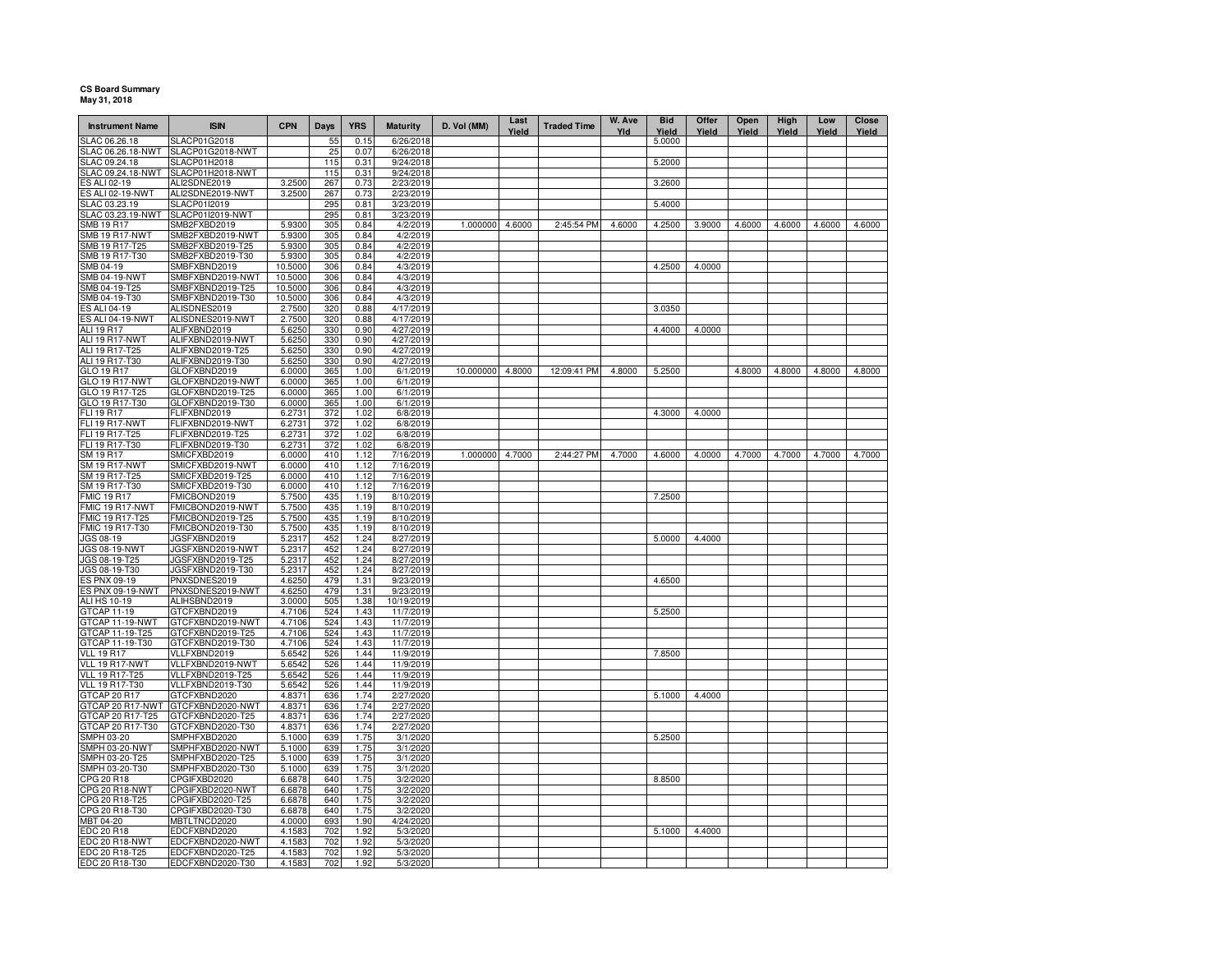## **CS Board Summary May 31, 2018**

| <b>Instrument Name</b>               | <b>ISIN</b>                          | <b>CPN</b>       | Days       | <b>YRS</b>   | <b>Maturity</b>        | D. Vol (MM)      | Last<br>Yield | <b>Traded Time</b> | W. Ave<br>Yld | <b>Bid</b><br>Yield | Offer<br>Yield | Open<br>Yield | <b>High</b><br>Yield | Low<br>Yield | Close<br>Yield |
|--------------------------------------|--------------------------------------|------------------|------------|--------------|------------------------|------------------|---------------|--------------------|---------------|---------------------|----------------|---------------|----------------------|--------------|----------------|
| SLAC 06.26.18                        | SLACP01G2018                         |                  | 55         | 0.15         | 6/26/2018              |                  |               |                    |               | 5.0000              |                |               |                      |              |                |
| SLAC 06.26.18-NWT                    | SLACP01G2018-NWT                     |                  | 25         | 0.07         | 6/26/2018              |                  |               |                    |               |                     |                |               |                      |              |                |
| SLAC 09.24.18                        | SLACP01H2018                         |                  | 115        | 0.31         | 9/24/2018              |                  |               |                    |               | 5.2000              |                |               |                      |              |                |
| <b>SLAC 09.24.18-NWT</b>             | SLACP01H2018-NWT                     |                  | 115        | 0.31         | 9/24/2018              |                  |               |                    |               |                     |                |               |                      |              |                |
| ES ALI 02-19                         | ALI2SDNE2019                         | 3.2500           | 267        | 0.73         | 2/23/2019              |                  |               |                    |               | 3.2600              |                |               |                      |              |                |
| ES ALI 02-19-NWT                     | ALI2SDNE2019-NWT                     | 3.2500           | 267<br>295 | 0.73         | 2/23/2019              |                  |               |                    |               |                     |                |               |                      |              |                |
| SLAC 03.23.19<br>SLAC 03.23.19-NWT   | SLACP01I2019<br>SLACP01I2019-NWT     |                  | 295        | 0.81<br>0.81 | 3/23/2019<br>3/23/2019 |                  |               |                    |               | 5.4000              |                |               |                      |              |                |
| SMB 19 R17                           | SMB2FXBD2019                         | 5.9300           | 305        | 0.84         | 4/2/2019               | 1.000000         | 4.6000        | 2:45:54 PM         | 4.6000        | 4.2500              | 3.9000         | 4.6000        | 4.6000               | 4.6000       | 4.6000         |
| SMB 19 R17-NWT                       | SMB2FXBD2019-NWT                     | 5.9300           | 305        | 0.84         | 4/2/2019               |                  |               |                    |               |                     |                |               |                      |              |                |
| SMB 19 R17-T25                       | SMB2FXBD2019-T25                     | 5.9300           | 305        | 0.84         | 4/2/2019               |                  |               |                    |               |                     |                |               |                      |              |                |
| SMB 19 R17-T30                       | SMB2FXBD2019-T30                     | 5.9300           | 305        | 0.84         | 4/2/2019               |                  |               |                    |               |                     |                |               |                      |              |                |
| SMB 04-19                            | SMBFXBND2019                         | 10.5000          | 306        | 0.84         | 4/3/2019               |                  |               |                    |               | 4.2500              | 4.0000         |               |                      |              |                |
| SMB 04-19-NWT                        | SMBFXBND2019-NWT                     | 10.5000          | 306        | 0.84         | 4/3/2019               |                  |               |                    |               |                     |                |               |                      |              |                |
| SMB 04-19-T25                        | SMBFXBND2019-T25                     | 10.5000          | 306        | 0.84         | 4/3/2019               |                  |               |                    |               |                     |                |               |                      |              |                |
| SMB 04-19-T30                        | SMBFXBND2019-T30                     | 10,5000          | 306        | 0.84         | 4/3/2019               |                  |               |                    |               |                     |                |               |                      |              |                |
| ES ALI 04-19                         | ALISDNES2019                         | 2.7500           | 320        | 0.88         | 4/17/2019              |                  |               |                    |               | 3.0350              |                |               |                      |              |                |
| <b>ES ALI 04-19-NWT</b>              | ALISDNES2019-NWT                     | 2.7500           | 320        | 0.88         | 4/17/2019              |                  |               |                    |               |                     |                |               |                      |              |                |
| ALI 19 R17                           | ALIFXBND2019                         | 5.6250           | 330        | 0.90         | 4/27/2019              |                  |               |                    |               | 4.4000              | 4.0000         |               |                      |              |                |
| ALI 19 R17-NWT                       | ALIFXBND2019-NWT                     | 5.6250           | 330        | 0.90         | 4/27/2019              |                  |               |                    |               |                     |                |               |                      |              |                |
| ALI 19 R17-T25                       | ALIFXBND2019-T25                     | 5.6250           | 330        | 0.90         | 4/27/2019              |                  |               |                    |               |                     |                |               |                      |              |                |
| ALI 19 R17-T30                       | ALIFXBND2019-T30                     | 5.6250           | 330        | 0.90         | 4/27/2019              |                  |               |                    |               |                     |                |               |                      |              |                |
| GLO 19 R17                           | GLOFXBND2019                         | 6.0000           | 365        | 1.00         | 6/1/2019               | 10.000000 4.8000 |               | 12:09:41 PM        | 4.8000        | 5.2500              |                | 4.8000        | 4.8000               | 4.8000       | 4.8000         |
| GLO 19 R17-NWT                       | GLOFXBND2019-NWT                     | 6.0000           | 365        | 1.00         | 6/1/2019               |                  |               |                    |               |                     |                |               |                      |              |                |
| GLO 19 R17-T25                       | GLOFXBND2019-T25                     | 6.0000           | 365        | 1.00         | 6/1/2019               |                  |               |                    |               |                     |                |               |                      |              |                |
| GLO 19 R17-T30                       | GLOFXBND2019-T30                     | 6.0000           | 365        | 1.00         | 6/1/2019               |                  |               |                    |               |                     |                |               |                      |              |                |
| FLI 19 R17                           | FLIFXBND2019                         | 6.2731           | 372        | 1.02         | 6/8/2019               |                  |               |                    |               | 4.3000              | 4.0000         |               |                      |              |                |
| FLI 19 R17-NWT                       | FLIFXBND2019-NWT                     | 6.2731           | 372        | 1.02         | 6/8/2019               |                  |               |                    |               |                     |                |               |                      |              |                |
| FLI 19 R17-T25                       | FLIFXBND2019-T25                     | 6.2731           | 372        | 1.02         | 6/8/2019               |                  |               |                    |               |                     |                |               |                      |              |                |
| FLI 19 R17-T30                       | FLIFXBND2019-T30                     | 6.2731           | 372        | 1.02         | 6/8/2019               |                  |               |                    |               |                     |                |               |                      |              |                |
| SM 19 R17                            | SMICFXBD2019                         | 6.0000           | 410        | 1.12         | 7/16/2019              | 1.000000 4.7000  |               | 2:44:27 PM         | 4.7000        | 4.6000              | 4.0000         | 4.7000        | 4.7000               | 4.7000       | 4.7000         |
| <b>SM 19 R17-NWT</b>                 | SMICFXBD2019-NWT                     | 6.0000           | 410        | 1.12         | 7/16/2019              |                  |               |                    |               |                     |                |               |                      |              |                |
| SM 19 R17-T25                        | SMICFXBD2019-T25                     | 6.0000           | 410        | 1.12         | 7/16/2019              |                  |               |                    |               |                     |                |               |                      |              |                |
| SM 19 R17-T30                        | SMICFXBD2019-T30                     | 6.0000           | 410        | 1.12         | 7/16/2019              |                  |               |                    |               |                     |                |               |                      |              |                |
| <b>FMIC 19 R17</b>                   | FMICBOND2019<br>FMICBOND2019-NWT     | 5.7500<br>5.7500 | 435<br>435 | 1.19<br>1.19 | 8/10/2019<br>8/10/2019 |                  |               |                    |               | 7.2500              |                |               |                      |              |                |
| FMIC 19 R17-NWT<br>FMIC 19 R17-T25   | FMICBOND2019-T25                     | 5.7500           | 435        | 1.19         | 8/10/2019              |                  |               |                    |               |                     |                |               |                      |              |                |
| FMIC 19 R17-T30                      | FMICBOND2019-T30                     | 5.7500           | 435        | 1.19         | 8/10/2019              |                  |               |                    |               |                     |                |               |                      |              |                |
| JGS 08-19                            | JGSFXBND2019                         | 5.2317           | 452        | 1.24         | 8/27/2019              |                  |               |                    |               | 5.0000              | 4.4000         |               |                      |              |                |
| <b>JGS 08-19-NWT</b>                 | JGSFXBND2019-NWT                     | 5.2317           | 452        | 1.24         | 8/27/2019              |                  |               |                    |               |                     |                |               |                      |              |                |
| JGS 08-19-T25                        | JGSFXBND2019-T25                     | 5.2317           | 452        | 1.24         | 8/27/2019              |                  |               |                    |               |                     |                |               |                      |              |                |
| JGS 08-19-T30                        | JGSFXBND2019-T30                     | 5.2317           | 452        | 1.24         | 8/27/2019              |                  |               |                    |               |                     |                |               |                      |              |                |
| ES PNX 09-19                         | PNXSDNES2019                         | 4.6250           | 479        | 1.31         | 9/23/2019              |                  |               |                    |               | 4.6500              |                |               |                      |              |                |
| ES PNX 09-19-NWT                     | PNXSDNES2019-NWT                     | 4.6250           | 479        | 1.31         | 9/23/2019              |                  |               |                    |               |                     |                |               |                      |              |                |
| ALI HS 10-19                         | ALIHSBND2019                         | 3.0000           | 505        | 1.38         | 10/19/2019             |                  |               |                    |               |                     |                |               |                      |              |                |
| GTCAP 11-19                          | GTCFXBND2019                         | 4.7106           | 524        | 1.43         | 11/7/2019              |                  |               |                    |               | 5.2500              |                |               |                      |              |                |
| GTCAP 11-19-NWT                      | GTCFXBND2019-NWT                     | 4.7106           | 524        | 1.43         | 11/7/2019              |                  |               |                    |               |                     |                |               |                      |              |                |
| GTCAP 11-19-T25                      | GTCFXBND2019-T25                     | 4.7106           | 524        | 1.43         | 11/7/2019              |                  |               |                    |               |                     |                |               |                      |              |                |
| GTCAP 11-19-T30                      | GTCFXBND2019-T30                     | 4.7106           | 524        | 1.43         | 11/7/2019              |                  |               |                    |               |                     |                |               |                      |              |                |
| VLL 19 R17                           | VLLFXBND2019                         | 5.6542           | 526        | 1.44         | 11/9/2019              |                  |               |                    |               | 7.8500              |                |               |                      |              |                |
| VLL 19 R17-NWT                       | VLLFXBND2019-NWT                     | 5.6542           | 526        | 1.44         | 11/9/2019              |                  |               |                    |               |                     |                |               |                      |              |                |
| <b>VLL 19 R17-T25</b>                | VLLFXBND2019-T25                     | 5.6542           | 526        | 1.44         | 11/9/2019              |                  |               |                    |               |                     |                |               |                      |              |                |
| <b>VLL 19 R17-T30</b>                | VLLFXBND2019-T30                     | 5.6542           | 526        | 1.44         | 11/9/2019              |                  |               |                    |               |                     |                |               |                      |              |                |
| GTCAP 20 R17                         | GTCFXBND2020                         | 4.8371<br>4.8371 | 636<br>636 | 1.74<br>1.74 | 2/27/2020              |                  |               |                    |               | 5.1000              | 4.4000         |               |                      |              |                |
| GTCAP 20 R17-NWT<br>GTCAP 20 R17-T25 | GTCFXBND2020-NWT<br>GTCFXBND2020-T25 | 4.8371           |            | 1.74         | 2/27/2020<br>2/27/2020 |                  |               |                    |               |                     |                |               |                      |              |                |
| GTCAP 20 R17-T30                     | GTCFXBND2020-T30                     | 4.8371           | 636        | 1.74         | 2/27/2020              |                  |               |                    |               |                     |                |               |                      |              |                |
| SMPH 03-20                           | SMPHFXBD2020                         | 5.1000           | 636<br>639 | 1.75         | 3/1/2020               |                  |               |                    |               | 5.2500              |                |               |                      |              |                |
| SMPH 03-20-NWT                       | SMPHFXBD2020-NWT                     | 5.1000           | 639        | 1.75         | 3/1/2020               |                  |               |                    |               |                     |                |               |                      |              |                |
| SMPH 03-20-T25                       | SMPHFXBD2020-T25                     | 5.1000           | 639        | 1.75         | 3/1/2020               |                  |               |                    |               |                     |                |               |                      |              |                |
| SMPH 03-20-T30                       | SMPHFXBD2020-T30                     | 5.1000           | 639        | 1.75         | 3/1/2020               |                  |               |                    |               |                     |                |               |                      |              |                |
| CPG 20 R18                           | CPGIFXBD2020                         | 6.6878           | 640        | 1.75         | 3/2/2020               |                  |               |                    |               | 8.8500              |                |               |                      |              |                |
| CPG 20 R18-NWT                       | CPGIFXBD2020-NWT                     | 6.6878           | 640        | 1.75         | 3/2/2020               |                  |               |                    |               |                     |                |               |                      |              |                |
| CPG 20 R18-T25                       | CPGIFXBD2020-T25                     | 6.6878           | 640        | 1.75         | 3/2/2020               |                  |               |                    |               |                     |                |               |                      |              |                |
| CPG 20 R18-T30                       | CPGIFXBD2020-T30                     | 6.6878           | 640        | 1.75         | 3/2/2020               |                  |               |                    |               |                     |                |               |                      |              |                |
| <b>MBT 04-20</b>                     | MBTLTNCD2020                         | 4.0000           | 693        | 1.90         | 4/24/2020              |                  |               |                    |               |                     |                |               |                      |              |                |
| EDC 20 R18                           | EDCFXBND2020                         | 4.158            | 702        | 1.92         | 5/3/2020               |                  |               |                    |               | 5.1000              | 4.4000         |               |                      |              |                |
| EDC 20 R18-NWT                       | EDCFXBND2020-NWT                     | 4.1583           | 702        | 1.92         | 5/3/2020               |                  |               |                    |               |                     |                |               |                      |              |                |
| EDC 20 R18-T25                       | EDCFXBND2020-T25                     | 4.1583           | 702        | 1.92         | 5/3/2020               |                  |               |                    |               |                     |                |               |                      |              |                |
| EDC 20 R18-T30                       | EDCFXBND2020-T30                     | 4.1583           | 702        | 1.92         | 5/3/2020               |                  |               |                    |               |                     |                |               |                      |              |                |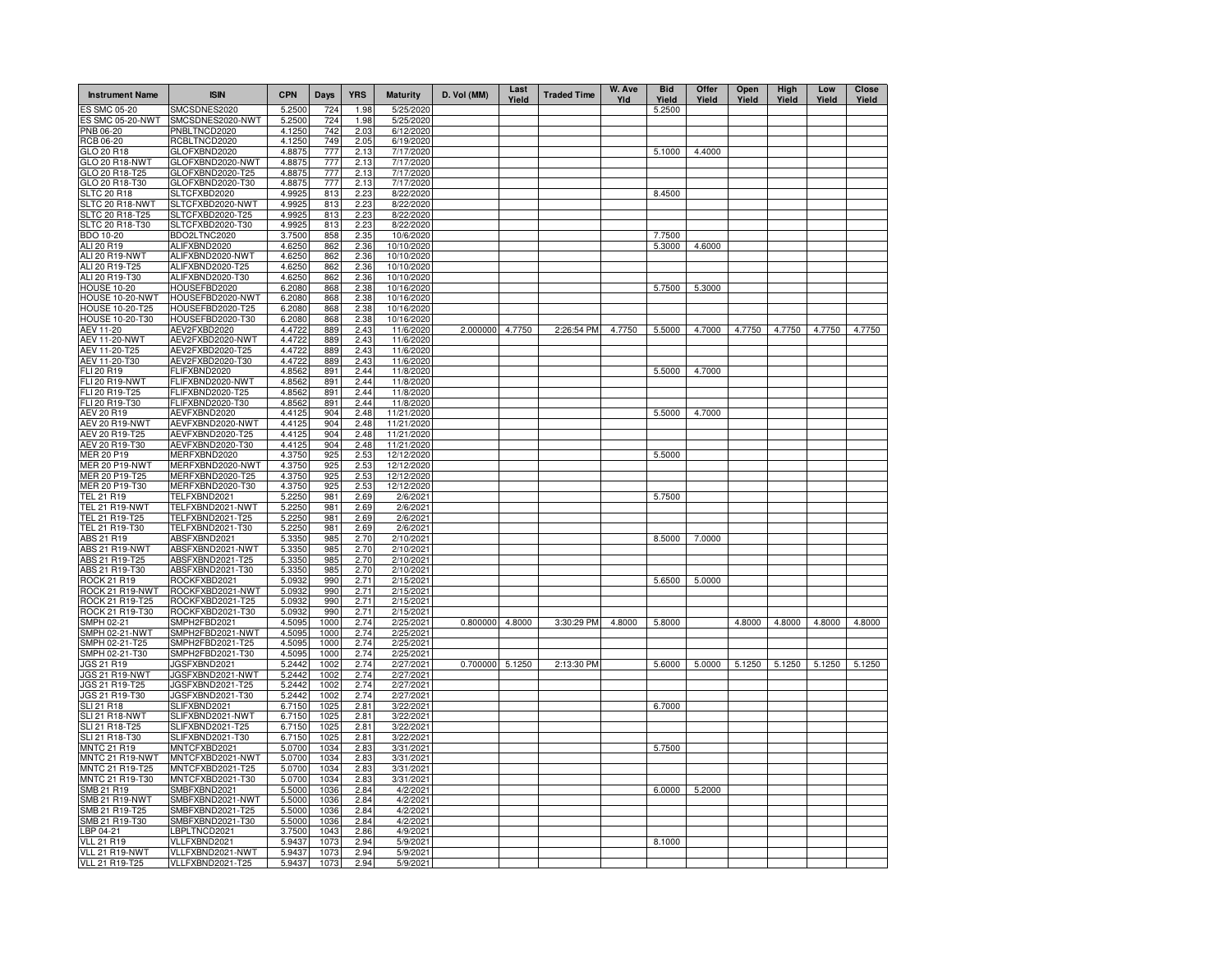| <b>Instrument Name</b>           | <b>ISIN</b>                      | <b>CPN</b>       | Days       | <b>YRS</b>   | <b>Maturity</b>        | D. Vol (MM)     | Last<br>Yield | <b>Traded Time</b> | W. Ave<br>Yld | <b>Bid</b><br>Yield | Offer<br>Yield | Open<br>Yield | High<br>Yield | Low<br>Yield | Close<br>Yield |
|----------------------------------|----------------------------------|------------------|------------|--------------|------------------------|-----------------|---------------|--------------------|---------------|---------------------|----------------|---------------|---------------|--------------|----------------|
| <b>ES SMC 05-20</b>              | SMCSDNES2020                     | 5.2500           | 724        | 1.98         | 5/25/2020              |                 |               |                    |               | 5.2500              |                |               |               |              |                |
| <b>ES SMC 05-20-NWT</b>          | SMCSDNES2020-NWT                 | 5.2500           | 724        | 1.98         | 5/25/2020              |                 |               |                    |               |                     |                |               |               |              |                |
| PNB 06-20                        | PNBLTNCD2020                     | 4.1250           | 742        | 2.03         | 6/12/2020              |                 |               |                    |               |                     |                |               |               |              |                |
| RCB 06-20                        | RCBLTNCD2020                     | 4.1250           | 749        | 2.05         | 6/19/2020              |                 |               |                    |               |                     |                |               |               |              |                |
| GLO 20 R18                       | GLOFXBND2020                     | 4.8875           | 777        | 2.13         | 7/17/2020              |                 |               |                    |               | 5.1000              | 4.4000         |               |               |              |                |
| GLO 20 R18-NWT                   | GLOFXBND2020-NWT                 | 4.8875           | 777        | 2.13         | 7/17/2020              |                 |               |                    |               |                     |                |               |               |              |                |
| GLO 20 R18-T25                   | GLOFXBND2020-T25                 | 4.8875           | 777        | 2.13         | 7/17/2020              |                 |               |                    |               |                     |                |               |               |              |                |
| GLO 20 R18-T30                   | GLOFXBND2020-T30                 | 4.8875           | 777        | 2.13         | 7/17/2020              |                 |               |                    |               |                     |                |               |               |              |                |
| <b>SLTC 20 R18</b>               | SLTCFXBD2020                     | 4.9925           | 813        | 2.23         | 8/22/2020              |                 |               |                    |               | 8.4500              |                |               |               |              |                |
| SLTC 20 R18-NWT                  | SLTCFXBD2020-NWT                 | 4.9925           | 813        | 2.23         | 8/22/2020              |                 |               |                    |               |                     |                |               |               |              |                |
| <b>SLTC 20 R18-T25</b>           | SLTCFXBD2020-T25                 | 4.9925           | 813        | 2.23         | 8/22/2020              |                 |               |                    |               |                     |                |               |               |              |                |
| SLTC 20 R18-T30                  | SLTCFXBD2020-T30                 | 4.9925<br>3.7500 | 813        | 2.23         | 8/22/2020<br>10/6/2020 |                 |               |                    |               | 7.7500              |                |               |               |              |                |
| BDO 10-20<br>ALI 20 R19          | BDO2LTNC2020<br>ALIFXBND2020     | 4.6250           | 858<br>862 | 2.35<br>2.36 | 10/10/2020             |                 |               |                    |               | 5.3000              | 4.6000         |               |               |              |                |
| ALI 20 R19-NWT                   | ALIFXBND2020-NWT                 | 4.6250           | 862        | 2.36         | 10/10/2020             |                 |               |                    |               |                     |                |               |               |              |                |
| ALI 20 R19-T25                   | ALIFXBND2020-T25                 | 4.6250           | 862        | 2.36         | 10/10/2020             |                 |               |                    |               |                     |                |               |               |              |                |
| ALI 20 R19-T30                   | ALIFXBND2020-T30                 | 4.6250           | 862        | 2.36         | 10/10/2020             |                 |               |                    |               |                     |                |               |               |              |                |
| <b>HOUSE 10-20</b>               | HOUSEFBD2020                     | 6.2080           | 868        | 2.38         | 10/16/2020             |                 |               |                    |               | 5.7500              | 5.3000         |               |               |              |                |
| HOUSE 10-20-NWT                  | HOUSEFBD2020-NWT                 | 6.2080           | 868        | 2.38         | 10/16/2020             |                 |               |                    |               |                     |                |               |               |              |                |
| HOUSE 10-20-T25                  | HOUSEFBD2020-T25                 | 6.2080           | 868        | 2.38         | 10/16/2020             |                 |               |                    |               |                     |                |               |               |              |                |
| HOUSE 10-20-T30                  | HOUSEFBD2020-T30                 | 6.2080           | 868        | 2.38         | 10/16/2020             |                 |               |                    |               |                     |                |               |               |              |                |
| AEV 11-20                        | AEV2FXBD2020                     | 4.4722           | 889        | 2.43         | 11/6/2020              | 2.000000        | 4.7750        | 2:26:54 PM         | 4.7750        | 5.5000              | 4.7000         | 4.7750        | 4.7750        | 4.7750       | 4.7750         |
| <b>AEV 11-20-NWT</b>             | AEV2FXBD2020-NWT                 | 4.4722           | 889        | 2.43         | 11/6/2020              |                 |               |                    |               |                     |                |               |               |              |                |
| AEV 11-20-T25                    | AEV2FXBD2020-T25                 | 4.4722           | 889        | 2.43         | 11/6/2020              |                 |               |                    |               |                     |                |               |               |              |                |
| AEV 11-20-T30                    | AEV2FXBD2020-T30                 | 4.4722           | 889        | 2.43         | 11/6/2020              |                 |               |                    |               |                     |                |               |               |              |                |
| FLI 20 R19                       | FLIFXBND2020                     | 4.8562           | 891        | 2.44         | 11/8/2020              |                 |               |                    |               | 5.5000              | 4.7000         |               |               |              |                |
| FLI 20 R19-NWT                   | FLIFXBND2020-NWT                 | 4.8562           | 891        | 2.44         | 11/8/2020              |                 |               |                    |               |                     |                |               |               |              |                |
| FLI 20 R19-T25                   | FLIFXBND2020-T25                 | 4.8562           | 891        | 2.44         | 11/8/2020              |                 |               |                    |               |                     |                |               |               |              |                |
| FLI 20 R19-T30                   | FLIFXBND2020-T30                 | 4.8562           | 891        | 2.44         | 11/8/2020              |                 |               |                    |               |                     |                |               |               |              |                |
| <b>AEV 20 R19</b>                | AEVFXBND2020                     | 4.4125           | 904        | 2.48         | 11/21/2020             |                 |               |                    |               | 5.5000              | 4.7000         |               |               |              |                |
| AEV 20 R19-NWT                   | AEVFXBND2020-NWT                 | 4.4125           | 904        | 2.48         | 11/21/2020             |                 |               |                    |               |                     |                |               |               |              |                |
| AEV 20 R19-T25                   | AEVFXBND2020-T25                 | 4.4125           | 904        | 2.48         | 11/21/2020             |                 |               |                    |               |                     |                |               |               |              |                |
| AEV 20 R19-T30                   | AEVFXBND2020-T30                 | 4.4125           | 904        | 2.48         | 11/21/2020             |                 |               |                    |               |                     |                |               |               |              |                |
| MER 20 P19                       | MERFXBND2020                     | 4.3750           | 925        | 2.53         | 12/12/2020             |                 |               |                    |               | 5.5000              |                |               |               |              |                |
| <b>MER 20 P19-NWT</b>            | MERFXBND2020-NWT                 | 4.3750           | 925        | 2.53         | 12/12/2020             |                 |               |                    |               |                     |                |               |               |              |                |
| MER 20 P19-T25                   | MERFXBND2020-T25                 | 4.3750           | 925        | 2.53         | 12/12/2020             |                 |               |                    |               |                     |                |               |               |              |                |
| MER 20 P19-T30                   | MERFXBND2020-T30                 | 4.3750           | 925        | 2.53         | 12/12/2020             |                 |               |                    |               |                     |                |               |               |              |                |
| <b>TEL 21 R19</b>                | TELFXBND2021                     | 5.2250           | 981        | 2.69         | 2/6/2021               |                 |               |                    |               | 5.7500              |                |               |               |              |                |
| <b>TEL 21 R19-NWT</b>            | TELFXBND2021-NWT                 | 5.2250           | 981        | 2.69         | 2/6/2021               |                 |               |                    |               |                     |                |               |               |              |                |
| TEL 21 R19-T25                   | TELFXBND2021-T25                 | 5.2250           | 981        | 2.69         | 2/6/2021               |                 |               |                    |               |                     |                |               |               |              |                |
| TEL 21 R19-T30                   | TELFXBND2021-T30                 | 5.2250           | 981        | 2.69         | 2/6/2021               |                 |               |                    |               | 8.5000              | 7.0000         |               |               |              |                |
| ABS 21 R19                       | ABSFXBND2021<br>ABSFXBND2021-NWT | 5.3350           | 985<br>985 | 2.70<br>2.70 | 2/10/2021              |                 |               |                    |               |                     |                |               |               |              |                |
| ABS 21 R19-NWT<br>ABS 21 R19-T25 | ABSFXBND2021-T25                 | 5.3350<br>5.3350 | 985        | 2.70         | 2/10/2021<br>2/10/2021 |                 |               |                    |               |                     |                |               |               |              |                |
| ABS 21 R19-T30                   | ABSFXBND2021-T30                 | 5.3350           | 985        | 2.70         | 2/10/2021              |                 |               |                    |               |                     |                |               |               |              |                |
| <b>ROCK 21 R19</b>               | ROCKFXBD2021                     | 5.0932           | 990        | 2.71         | 2/15/2021              |                 |               |                    |               | 5.6500              | 5.0000         |               |               |              |                |
| ROCK 21 R19-NWT                  | ROCKFXBD2021-NWT                 | 5.0932           | 990        | 2.71         | 2/15/2021              |                 |               |                    |               |                     |                |               |               |              |                |
| ROCK 21 R19-T25                  | ROCKFXBD2021-T25                 | 5.0932           | 990        | 2.71         | 2/15/2021              |                 |               |                    |               |                     |                |               |               |              |                |
| ROCK 21 R19-T30                  | ROCKFXBD2021-T30                 | 5.0932           | 990        | 2.71         | 2/15/2021              |                 |               |                    |               |                     |                |               |               |              |                |
| SMPH 02-21                       | SMPH2FBD2021                     | 4.5095           | 1000       | 2.74         | 2/25/2021              | 0.800000        | 4.8000        | 3:30:29 PM         | 4.8000        | 5.8000              |                | 4.8000        | 4.8000        | 4.8000       | 4.8000         |
| <b>SMPH 02-21-NWT</b>            | SMPH2FBD2021-NWT                 | 4.5095           | 1000       | 2.74         | 2/25/2021              |                 |               |                    |               |                     |                |               |               |              |                |
| SMPH 02-21-T25                   | SMPH2FBD2021-T25                 | 4.5095           | 1000       | 2.74         | 2/25/2021              |                 |               |                    |               |                     |                |               |               |              |                |
| SMPH 02-21-T30                   | SMPH2FBD2021-T30                 | 4.5095           | 1000       | 2.74         | 2/25/2021              |                 |               |                    |               |                     |                |               |               |              |                |
| <b>JGS 21 R19</b>                | JGSFXBND2021                     | 5.2442           | 1002       | 2.74         | 2/27/2021              | 0.700000 5.1250 |               | 2:13:30 PM         |               | 5.6000              | 5.0000         | 5.1250        | 5.1250        | 5.1250       | 5.1250         |
| <b>JGS 21 R19-NWT</b>            | JGSFXBND2021-NWT                 | 5.2442           | 1002       | 2.74         | 2/27/2021              |                 |               |                    |               |                     |                |               |               |              |                |
| JGS 21 R19-T25                   | JGSFXBND2021-T25                 | 5.2442           | 1002       | 2.74         | 2/27/2021              |                 |               |                    |               |                     |                |               |               |              |                |
| JGS 21 R19-T30                   | JGSFXBND2021-T30                 | 5.2442           | 1002       | 2.74         | 2/27/2021              |                 |               |                    |               |                     |                |               |               |              |                |
| <b>SLI 21 R18</b>                | SLIFXBND2021                     | 6.7150           | 1025       | 2.81         | 3/22/2021              |                 |               |                    |               | 6.7000              |                |               |               |              |                |
| SLI 21 R18-NWT                   | SLIFXBND2021-NWT                 | 6.7150           | 1025       | 2.81         | 3/22/2021              |                 |               |                    |               |                     |                |               |               |              |                |
| SLI 21 R18-T25                   | SLIFXBND2021-T25                 | 6.7150           | 1025       | 2.81         | 3/22/2021              |                 |               |                    |               |                     |                |               |               |              |                |
| SLI 21 R18-T30                   | SLIFXBND2021-T30                 | 6.7150           | 1025       | 2.81         | 3/22/2021              |                 |               |                    |               |                     |                |               |               |              |                |
| <b>MNTC 21 R19</b>               | MNTCFXBD2021                     | 5.0700           | 1034       | 2.83         | 3/31/2021              |                 |               |                    |               | 5.7500              |                |               |               |              |                |
| MNTC 21 R19-NWT                  | MNTCFXBD2021-NWT                 | 5.0700           | 1034       | 2.83         | 3/31/2021              |                 |               |                    |               |                     |                |               |               |              |                |
| MNTC 21 R19-T25                  | MNTCFXBD2021-T25                 | 5.0700           | 1034       | 2.83         | 3/31/2021              |                 |               |                    |               |                     |                |               |               |              |                |
| MNTC 21 R19-T30                  | MNTCFXBD2021-T30                 | 5.0700           | 1034       | 2.83         | 3/31/2021              |                 |               |                    |               |                     |                |               |               |              |                |
| SMB 21 R19                       | SMBFXBND2021                     | 5.5000           | 1036       | 2.84         | 4/2/2021               |                 |               |                    |               | 6.0000              | 5.2000         |               |               |              |                |
| SMB 21 R19-NWT                   | SMBFXBND2021-NWT                 | 5.5000           | 1036       | 2.84         | 4/2/2021               |                 |               |                    |               |                     |                |               |               |              |                |
| SMB 21 R19-T25                   | SMBFXBND2021-T25                 | 5.5000           | 1036       | 2.84         | 4/2/2021               |                 |               |                    |               |                     |                |               |               |              |                |
| SMB 21 R19-T30                   | SMBFXBND2021-T30                 | 5.5000           | 1036       | 2.84         | 4/2/2021               |                 |               |                    |               |                     |                |               |               |              |                |
| LBP 04-21                        | LBPLTNCD2021                     | 3.7500           | 1043       | 2.86         | 4/9/2021               |                 |               |                    |               |                     |                |               |               |              |                |
| <b>VLL 21 R19</b>                | VLLFXBND2021                     | 5.9437           | 1073       | 2.94         | 5/9/2021               |                 |               |                    |               | 8.1000              |                |               |               |              |                |
| VLL 21 R19-NWT                   | VLLFXBND2021-NWT                 | 5.9437           | 1073       | 2.94         | 5/9/2021               |                 |               |                    |               |                     |                |               |               |              |                |
| VLL 21 R19-T25                   | VLLFXBND2021-T25                 | 5.9437           | 1073       | 2.94         | 5/9/2021               |                 |               |                    |               |                     |                |               |               |              |                |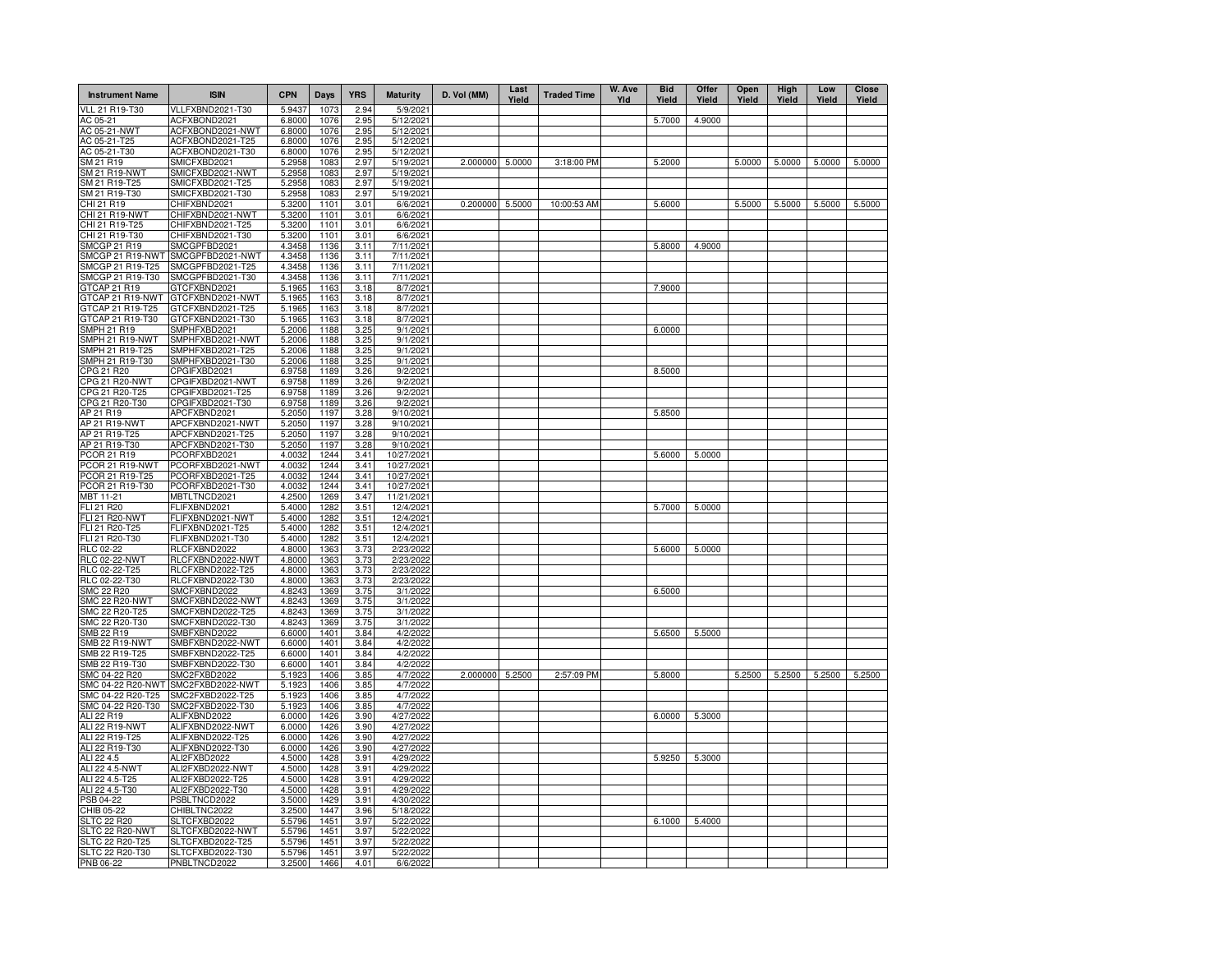| <b>Instrument Name</b>                 | <b>ISIN</b>                      | <b>CPN</b>       | Days         | <b>YRS</b>   | <b>Maturity</b>          | D. Vol (MM)     | Last<br>Yield | <b>Traded Time</b> | W. Ave<br>YId | <b>Bid</b><br>Yield | Offer<br>Yield | Open<br>Yield | High<br>Yield | Low<br>Yield | <b>Close</b><br>Yield |
|----------------------------------------|----------------------------------|------------------|--------------|--------------|--------------------------|-----------------|---------------|--------------------|---------------|---------------------|----------------|---------------|---------------|--------------|-----------------------|
| <b>VLL 21 R19-T30</b>                  | VLLFXBND2021-T30                 | 5.9437           | 1073         | 2.94         | 5/9/2021                 |                 |               |                    |               |                     |                |               |               |              |                       |
| AC 05-21                               | ACFXBOND2021                     | 6.8000           | 1076         | 2.95         | 5/12/2021                |                 |               |                    |               | 5.7000              | 4.9000         |               |               |              |                       |
| AC 05-21-NWT                           | ACFXBOND2021-NWT                 | 6.8000           | 1076         | 2.95         | 5/12/2021                |                 |               |                    |               |                     |                |               |               |              |                       |
| AC 05-21-T25                           | ACFXBOND2021-T25                 | 6.8000           | 1076         | 2.95         | 5/12/2021                |                 |               |                    |               |                     |                |               |               |              |                       |
| AC 05-21-T30                           | ACFXBOND2021-T30                 | 6.8000           | 1076         | 2.95         | 5/12/2021                |                 |               |                    |               |                     |                |               |               |              |                       |
| SM 21 R19<br>SM 21 R19-NWT             | SMICFXBD2021<br>SMICFXBD2021-NWT | 5.2958<br>5.2958 | 1083<br>1083 | 2.97<br>2.97 | 5/19/2021<br>5/19/2021   | 2.000000        | 5.0000        | 3:18:00 PM         |               | 5.2000              |                | 5.0000        | 5.0000        | 5.0000       | 5.0000                |
| SM 21 R19-T25                          | SMICFXBD2021-T25                 | 5.2958           | 1083         | 2.97         | 5/19/2021                |                 |               |                    |               |                     |                |               |               |              |                       |
| SM 21 R19-T30                          | SMICFXBD2021-T30                 | 5.2958           | 1083         | 2.97         | 5/19/2021                |                 |               |                    |               |                     |                |               |               |              |                       |
| CHI 21 R19                             | CHIFXBND2021                     | 5.3200           | 1101         | 3.01         | 6/6/2021                 | 0.200000        | 5.5000        | 10:00:53 AM        |               | 5.6000              |                | 5.5000        | 5.5000        | 5.5000       | 5.5000                |
| CHI 21 R19-NWT                         | CHIFXBND2021-NWT                 | 5.3200           | 1101         | 3.01         | 6/6/2021                 |                 |               |                    |               |                     |                |               |               |              |                       |
| CHI 21 R19-T25                         | CHIFXBND2021-T25                 | 5.3200           | 1101         | 3.01         | 6/6/2021                 |                 |               |                    |               |                     |                |               |               |              |                       |
| CHI 21 R19-T30                         | CHIFXBND2021-T30                 | 5.3200           | 1101         | 3.01         | 6/6/2021                 |                 |               |                    |               |                     |                |               |               |              |                       |
| <b>SMCGP 21 R19</b>                    | SMCGPFBD2021                     | 4.3458           | 1136         | 3.11         | 7/11/2021                |                 |               |                    |               | 5.8000              | 4.9000         |               |               |              |                       |
| SMCGP 21 R19-NWT                       | SMCGPFBD2021-NWT                 | 4.3458           | 1136         | 3.11         | 7/11/2021                |                 |               |                    |               |                     |                |               |               |              |                       |
| SMCGP 21 R19-T25                       | SMCGPFBD2021-T25                 | 4.3458           | 1136         | 3.11         | 7/11/2021                |                 |               |                    |               |                     |                |               |               |              |                       |
| SMCGP 21 R19-T30                       | SMCGPFBD2021-T30                 | 4.3458           | 1136         | 3.11         | 7/11/2021                |                 |               |                    |               |                     |                |               |               |              |                       |
| GTCAP 21 R19                           | GTCFXBND2021                     | 5.1965           | 1163         | 3.18         | 8/7/2021                 |                 |               |                    |               | 7.9000              |                |               |               |              |                       |
| GTCAP 21 R19-NWT                       | GTCFXBND2021-NWT                 | 5.1965           | 1163         | 3.18         | 8/7/2021                 |                 |               |                    |               |                     |                |               |               |              |                       |
| GTCAP 21 R19-T25                       | GTCFXBND2021-T25                 | 5.1965           | 1163         | 3.18         | 8/7/2021                 |                 |               |                    |               |                     |                |               |               |              |                       |
| GTCAP 21 R19-T30<br><b>SMPH 21 R19</b> | GTCFXBND2021-T30<br>SMPHFXBD2021 | 5.1965<br>5.2006 | 1163<br>1188 | 3.18<br>3.25 | 8/7/2021<br>9/1/2021     |                 |               |                    |               | 6.0000              |                |               |               |              |                       |
| SMPH 21 R19-NWT                        | SMPHFXBD2021-NWT                 | 5.2006           | 1188         | 3.25         | 9/1/2021                 |                 |               |                    |               |                     |                |               |               |              |                       |
| SMPH 21 R19-T25                        | SMPHFXBD2021-T25                 | 5.2006           | 1188         | 3.25         | 9/1/2021                 |                 |               |                    |               |                     |                |               |               |              |                       |
| SMPH 21 R19-T30                        | SMPHFXBD2021-T30                 | 5.2006           | 1188         | 3.25         | 9/1/2021                 |                 |               |                    |               |                     |                |               |               |              |                       |
| CPG 21 R20                             | CPGIFXBD2021                     | 6.9758           | 1189         | 3.26         | 9/2/2021                 |                 |               |                    |               | 8.5000              |                |               |               |              |                       |
| <b>CPG 21 R20-NWT</b>                  | CPGIFXBD2021-NWT                 | 6.9758           | 1189         | 3.26         | 9/2/2021                 |                 |               |                    |               |                     |                |               |               |              |                       |
| CPG 21 R20-T25                         | CPGIFXBD2021-T25                 | 6.9758           | 1189         | 3.26         | 9/2/2021                 |                 |               |                    |               |                     |                |               |               |              |                       |
| CPG 21 R20-T30                         | CPGIFXBD2021-T30                 | 6.9758           | 1189         | 3.26         | 9/2/2021                 |                 |               |                    |               |                     |                |               |               |              |                       |
| AP 21 R19                              | APCFXBND2021                     | 5.2050           | 1197         | 3.28         | 9/10/2021                |                 |               |                    |               | 5.8500              |                |               |               |              |                       |
| AP 21 R19-NWT                          | APCFXBND2021-NWT                 | 5.2050           | 1197         | 3.28         | 9/10/2021                |                 |               |                    |               |                     |                |               |               |              |                       |
| AP 21 R19-T25                          | APCFXBND2021-T25                 | 5.2050           | 1197         | 3.28         | 9/10/2021                |                 |               |                    |               |                     |                |               |               |              |                       |
| AP 21 R19-T30                          | APCFXBND2021-T30                 | 5.2050           | 1197         | 3.28         | 9/10/2021                |                 |               |                    |               |                     |                |               |               |              |                       |
| PCOR 21 R19                            | PCORFXBD2021                     | 4.0032           | 1244         | 3.41         | 10/27/2021               |                 |               |                    |               | 5.6000              | 5.0000         |               |               |              |                       |
| PCOR 21 R19-NWT                        | PCORFXBD2021-NWT                 | 4.0032           | 1244         | 3.41         | 10/27/2021               |                 |               |                    |               |                     |                |               |               |              |                       |
| PCOR 21 R19-T25                        | PCORFXBD2021-T25                 | 4.0032           | 1244         | 3.41         | 10/27/2021               |                 |               |                    |               |                     |                |               |               |              |                       |
| PCOR 21 R19-T30<br>MBT 11-21           | PCORFXBD2021-T30<br>MBTLTNCD2021 | 4.0032<br>4.2500 | 1244<br>1269 | 3.41<br>3.47 | 10/27/2021<br>11/21/2021 |                 |               |                    |               |                     |                |               |               |              |                       |
| FLI 21 R20                             | FLIFXBND2021                     | 5.4000           | 1282         | 3.51         | 12/4/2021                |                 |               |                    |               | 5.7000              | 5.0000         |               |               |              |                       |
| <b>FLI 21 R20-NWT</b>                  | FLIFXBND2021-NWT                 | 5.4000           | 1282         | 3.51         | 12/4/2021                |                 |               |                    |               |                     |                |               |               |              |                       |
| FLI 21 R20-T25                         | FLIFXBND2021-T25                 | 5.4000           | 1282         | 3.51         | 12/4/2021                |                 |               |                    |               |                     |                |               |               |              |                       |
| FLI 21 R20-T30                         | FLIFXBND2021-T30                 | 5.4000           | 1282         | 3.51         | 12/4/2021                |                 |               |                    |               |                     |                |               |               |              |                       |
| RLC 02-22                              | RLCFXBND2022                     | 4.8000           | 1363         | 3.73         | 2/23/2022                |                 |               |                    |               | 5.6000              | 5.0000         |               |               |              |                       |
| <b>RLC 02-22-NWT</b>                   | RLCFXBND2022-NWT                 | 4.8000           | 1363         | 3.73         | 2/23/2022                |                 |               |                    |               |                     |                |               |               |              |                       |
| RLC 02-22-T25                          | RLCFXBND2022-T25                 | 4.8000           | 1363         | 3.73         | 2/23/2022                |                 |               |                    |               |                     |                |               |               |              |                       |
| RLC 02-22-T30                          | RLCFXBND2022-T30                 | 4.8000           | 1363         | 3.73         | 2/23/2022                |                 |               |                    |               |                     |                |               |               |              |                       |
| <b>SMC 22 R20</b>                      | SMCFXBND2022                     | 4.8243           | 1369         | 3.75         | 3/1/2022                 |                 |               |                    |               | 6.5000              |                |               |               |              |                       |
| <b>SMC 22 R20-NWT</b>                  | SMCFXBND2022-NWT                 | 4.8243           | 1369         | 3.75         | 3/1/2022                 |                 |               |                    |               |                     |                |               |               |              |                       |
| SMC 22 R20-T25                         | SMCFXBND2022-T25                 | 4.8243           | 1369         | 3.75         | 3/1/2022                 |                 |               |                    |               |                     |                |               |               |              |                       |
| SMC 22 R20-T30                         | SMCFXBND2022-T30<br>SMBFXBND2022 | 4.8243<br>6.6000 | 1369<br>1401 | 3.75         | 3/1/2022                 |                 |               |                    |               |                     |                |               |               |              |                       |
| SMB 22 R19<br><b>SMB 22 R19-NWT</b>    | SMBFXBND2022-NWT                 |                  | 1401         | 3.84<br>3.84 | 4/2/2022<br>4/2/2022     |                 |               |                    |               | 5.6500              | 5.5000         |               |               |              |                       |
| SMB 22 R19-T25                         | SMBFXBND2022-T25                 | 6.6000<br>6.6000 | 1401         | 3.84         | 4/2/2022                 |                 |               |                    |               |                     |                |               |               |              |                       |
| SMB 22 R19-T30                         | SMBFXBND2022-T30                 | 6.6000           | 1401         | 3.84         | 4/2/2022                 |                 |               |                    |               |                     |                |               |               |              |                       |
| SMC 04-22 R20                          | SMC2FXBD2022                     | 5.1923           | 1406         | 3.85         | 4/7/2022                 | 2.000000 5.2500 |               | 2:57:09 PM         |               | 5.8000              |                | 5.2500        | 5.2500        | 5.2500       | 5.2500                |
| SMC 04-22 R20-NWT                      | SMC2FXBD2022-NWT                 | 5.1923           | 1406         | 3.85         | 4/7/2022                 |                 |               |                    |               |                     |                |               |               |              |                       |
| SMC 04-22 R20-T25                      | SMC2FXBD2022-T25                 | 5.1923           | 1406         | 3.85         | 4/7/2022                 |                 |               |                    |               |                     |                |               |               |              |                       |
| SMC 04-22 R20-T30                      | SMC2FXBD2022-T30                 | 5.1923           | 1406         | 3.85         | 4/7/2022                 |                 |               |                    |               |                     |                |               |               |              |                       |
| ALI 22 R19                             | ALIFXBND2022                     | 6.0000           | 1426         | 3.90         | 4/27/2022                |                 |               |                    |               | 6.0000              | 5.3000         |               |               |              |                       |
| ALI 22 R19-NWT                         | ALIFXBND2022-NWT                 | 6.0000           | 1426         | 3.90         | 4/27/2022                |                 |               |                    |               |                     |                |               |               |              |                       |
| ALI 22 R19-T25                         | ALIFXBND2022-T25                 | 6.0000           | 1426         | 3.90         | 4/27/2022                |                 |               |                    |               |                     |                |               |               |              |                       |
| ALI 22 R19-T30                         | ALIFXBND2022-T30                 | 6.0000           | 1426         | 3.90         | 4/27/2022                |                 |               |                    |               |                     |                |               |               |              |                       |
| ALI 22 4.5                             | ALI2FXBD2022                     | 4.5000           | 1428         | 3.91         | 4/29/2022                |                 |               |                    |               | 5.9250              | 5.3000         |               |               |              |                       |
| ALI 22 4.5-NWT                         | ALI2FXBD2022-NWT                 | 4.5000           | 1428         | 3.91         | 4/29/2022                |                 |               |                    |               |                     |                |               |               |              |                       |
| ALI 22 4.5-T25                         | ALI2FXBD2022-T25                 | 4.5000           | 1428         | 3.91         | 4/29/2022                |                 |               |                    |               |                     |                |               |               |              |                       |
| ALI 22 4.5-T30                         | ALI2FXBD2022-T30<br>PSBLTNCD2022 | 4.5000<br>3.5000 | 1428<br>1429 | 3.91<br>3.91 | 4/29/2022<br>4/30/2022   |                 |               |                    |               |                     |                |               |               |              |                       |
| PSB 04-22<br>CHIB 05-22                | CHIBLTNC2022                     | 3.2500           | 1447         | 3.96         | 5/18/2022                |                 |               |                    |               |                     |                |               |               |              |                       |
| <b>SLTC 22 R20</b>                     | SLTCFXBD2022                     | 5.5796           | 1451         | 3.97         | 5/22/2022                |                 |               |                    |               | 6.1000              | 5.4000         |               |               |              |                       |
| SLTC 22 R20-NWT                        | SLTCFXBD2022-NWT                 | 5.5796           | 1451         | 3.97         | 5/22/2022                |                 |               |                    |               |                     |                |               |               |              |                       |
| SLTC 22 R20-T25                        | SLTCFXBD2022-T25                 | 5.5796           | 1451         | 3.97         | 5/22/2022                |                 |               |                    |               |                     |                |               |               |              |                       |
| SLTC 22 R20-T30                        | SLTCFXBD2022-T30                 | 5.5796           | 1451         | 3.97         | 5/22/2022                |                 |               |                    |               |                     |                |               |               |              |                       |
| PNB 06-22                              | PNBLTNCD2022                     | 3.2500           | 1466         | 4.01         | 6/6/2022                 |                 |               |                    |               |                     |                |               |               |              |                       |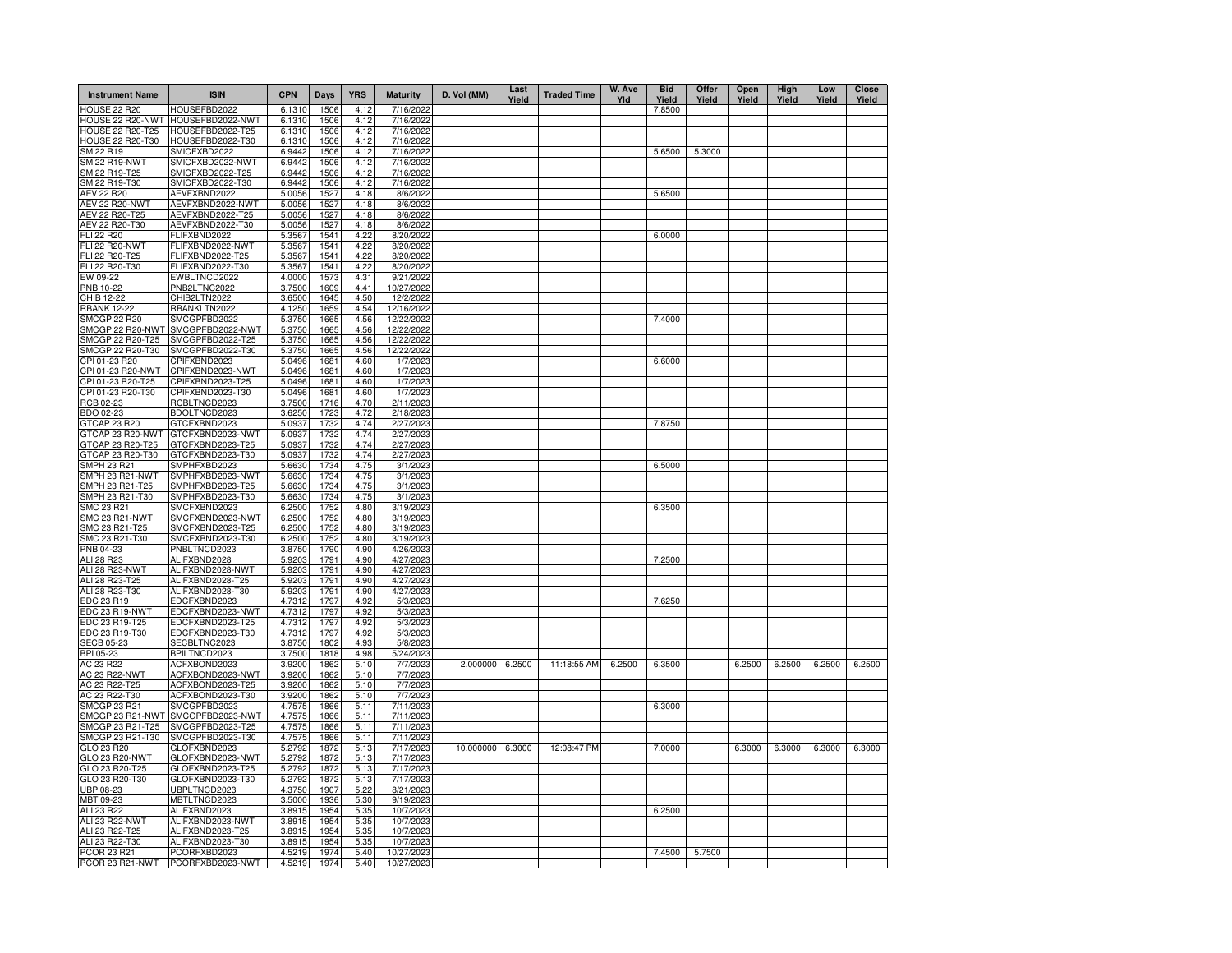| <b>Instrument Name</b>                  | <b>ISIN</b>                          | <b>CPN</b>       | Days         | <b>YRS</b>   | <b>Maturity</b>          | D. Vol (MM)      | Last<br>Yield | <b>Traded Time</b> | W. Ave<br>YId | <b>Bid</b><br>Yield | Offer<br>Yield | Open<br>Yield | High<br>Yield | Low<br>Yield | <b>Close</b><br>Yield |
|-----------------------------------------|--------------------------------------|------------------|--------------|--------------|--------------------------|------------------|---------------|--------------------|---------------|---------------------|----------------|---------------|---------------|--------------|-----------------------|
| HOUSE 22 R20                            | HOUSEFBD2022                         | 6.1310           | 1506         | 4.12         | 7/16/2022                |                  |               |                    |               | 7.8500              |                |               |               |              |                       |
| HOUSE 22 R20-NWT                        | HOUSEFBD2022-NWT                     | 6.1310           | 1506         | 4.12         | 7/16/2022                |                  |               |                    |               |                     |                |               |               |              |                       |
| <b>HOUSE 22 R20-T25</b>                 | HOUSEFBD2022-T25                     | 6.1310           | 1506         | 4.12         | 7/16/2022                |                  |               |                    |               |                     |                |               |               |              |                       |
| <b>HOUSE 22 R20-T30</b>                 | HOUSEFBD2022-T30                     | 6.1310           | 1506         | 4.12         | 7/16/2022                |                  |               |                    |               |                     |                |               |               |              |                       |
| SM 22 R19<br><b>SM 22 R19-NWT</b>       | SMICFXBD2022<br>SMICFXBD2022-NWT     | 6.9442           | 1506         | 4.12         | 7/16/2022                |                  |               |                    |               | 5.6500              | 5.3000         |               |               |              |                       |
| SM 22 R19-T25                           | SMICFXBD2022-T25                     | 6.9442<br>6.9442 | 1506<br>1506 | 4.12<br>4.12 | 7/16/2022<br>7/16/2022   |                  |               |                    |               |                     |                |               |               |              |                       |
| SM 22 R19-T30                           | SMICFXBD2022-T30                     | 6.9442           | 1506         | 4.12         | 7/16/2022                |                  |               |                    |               |                     |                |               |               |              |                       |
| <b>AEV 22 R20</b>                       | AEVFXBND2022                         | 5.0056           | 1527         | 4.18         | 8/6/2022                 |                  |               |                    |               | 5.6500              |                |               |               |              |                       |
| <b>AEV 22 R20-NWT</b>                   | AEVFXBND2022-NWT                     | 5.0056           | 1527         | 4.18         | 8/6/2022                 |                  |               |                    |               |                     |                |               |               |              |                       |
| AEV 22 R20-T25                          | AEVFXBND2022-T25                     | 5.0056           | 1527         | 4.18         | 8/6/2022                 |                  |               |                    |               |                     |                |               |               |              |                       |
| AEV 22 R20-T30                          | AEVFXBND2022-T30                     | 5.0056           | 1527         | 4.18         | 8/6/2022                 |                  |               |                    |               |                     |                |               |               |              |                       |
| <b>FLI 22 R20</b>                       | FLIFXBND2022                         | 5.3567           | 1541         | 4.22         | 8/20/2022                |                  |               |                    |               | 6.0000              |                |               |               |              |                       |
| <b>FLI 22 R20-NWT</b>                   | FLIFXBND2022-NWT                     | 5.3567           | 1541         | 4.22         | 8/20/2022                |                  |               |                    |               |                     |                |               |               |              |                       |
| FLI 22 R20-T25                          | FLIFXBND2022-T25                     | 5.3567           | 1541         | 4.22         | 8/20/2022                |                  |               |                    |               |                     |                |               |               |              |                       |
| FLI 22 R20-T30                          | FLIFXBND2022-T30                     | 5.3567           | 1541         | 4.22         | 8/20/2022                |                  |               |                    |               |                     |                |               |               |              |                       |
| EW 09-22                                | EWBLTNCD2022                         | 4.0000           | 1573         | 4.31         | 9/21/2022                |                  |               |                    |               |                     |                |               |               |              |                       |
| PNB 10-22                               | PNB2LTNC2022                         | 3.7500           | 1609         | 4.41         | 10/27/2022               |                  |               |                    |               |                     |                |               |               |              |                       |
| CHIB 12-22                              | CHIB2LTN2022                         | 3.6500           | 1645         | 4.50         | 12/2/2022                |                  |               |                    |               |                     |                |               |               |              |                       |
| <b>RBANK 12-22</b>                      | RBANKLTN2022                         | 4.1250           | 1659         | 4.54         | 12/16/2022               |                  |               |                    |               |                     |                |               |               |              |                       |
| <b>SMCGP 22 R20</b><br>SMCGP 22 R20-NWT | SMCGPFBD2022<br>SMCGPFBD2022-NWT     | 5.3750           | 1665<br>1665 | 4.56         | 12/22/2022<br>12/22/2022 |                  |               |                    |               | 7.4000              |                |               |               |              |                       |
| SMCGP 22 R20-T25                        | SMCGPFBD2022-T25                     | 5.3750<br>5.3750 | 1665         | 4.56<br>4.56 | 12/22/2022               |                  |               |                    |               |                     |                |               |               |              |                       |
| SMCGP 22 R20-T30                        | SMCGPFBD2022-T30                     | 5.3750           | 1665         | 4.56         | 12/22/2022               |                  |               |                    |               |                     |                |               |               |              |                       |
| CPI 01-23 R20                           | CPIFXBND2023                         | 5.0496           | 1681         | 4.60         | 1/7/2023                 |                  |               |                    |               | 6.6000              |                |               |               |              |                       |
| CPI 01-23 R20-NWT                       | CPIFXBND2023-NWT                     | 5.0496           | 1681         | 4.60         | 1/7/2023                 |                  |               |                    |               |                     |                |               |               |              |                       |
| CPI 01-23 R20-T25                       | CPIFXBND2023-T25                     | 5.0496           | 1681         | 4.60         | 1/7/2023                 |                  |               |                    |               |                     |                |               |               |              |                       |
| CPI 01-23 R20-T30                       | CPIFXBND2023-T30                     | 5.0496           | 1681         | 4.60         | 1/7/2023                 |                  |               |                    |               |                     |                |               |               |              |                       |
| RCB 02-23                               | RCBLTNCD2023                         | 3.7500           | 1716         | 4.70         | 2/11/2023                |                  |               |                    |               |                     |                |               |               |              |                       |
| BDO 02-23                               | BDOLTNCD2023                         | 3.6250           | 1723         | 4.72         | 2/18/2023                |                  |               |                    |               |                     |                |               |               |              |                       |
| GTCAP 23 R20                            | GTCFXBND2023                         | 5.0937           | 1732         | 4.74         | 2/27/2023                |                  |               |                    |               | 7.8750              |                |               |               |              |                       |
| GTCAP 23 R20-NWT                        | GTCFXBND2023-NWT                     | 5.0937           | 1732         | 4.74         | 2/27/2023                |                  |               |                    |               |                     |                |               |               |              |                       |
| GTCAP 23 R20-T25                        | GTCFXBND2023-T25                     | 5.0937           | 1732         | 4.74         | 2/27/2023                |                  |               |                    |               |                     |                |               |               |              |                       |
| GTCAP 23 R20-T30                        | GTCFXBND2023-T30                     | 5.0937           | 1732         | 4.74         | 2/27/2023                |                  |               |                    |               |                     |                |               |               |              |                       |
| <b>SMPH 23 R21</b>                      | SMPHFXBD2023                         | 5.6630           | 1734         | 4.75         | 3/1/2023                 |                  |               |                    |               | 6.5000              |                |               |               |              |                       |
| SMPH 23 R21-NWT                         | SMPHFXBD2023-NWT                     | 5.6630           | 1734         | 4.75         | 3/1/2023                 |                  |               |                    |               |                     |                |               |               |              |                       |
| SMPH 23 R21-T25                         | SMPHFXBD2023-T25                     | 5.6630           | 1734         | 4.75         | 3/1/2023                 |                  |               |                    |               |                     |                |               |               |              |                       |
| SMPH 23 R21-T30                         | SMPHFXBD2023-T30                     | 5.6630           | 1734         | 4.75         | 3/1/2023                 |                  |               |                    |               |                     |                |               |               |              |                       |
| SMC 23 R21                              | SMCFXBND2023                         | 6.2500           | 1752         | 4.80         | 3/19/2023                |                  |               |                    |               | 6.3500              |                |               |               |              |                       |
| SMC 23 R21-NWT<br>SMC 23 R21-T25        | SMCFXBND2023-NWT<br>SMCFXBND2023-T25 | 6.2500<br>6.2500 | 1752<br>1752 | 4.80<br>4.80 | 3/19/2023<br>3/19/2023   |                  |               |                    |               |                     |                |               |               |              |                       |
| SMC 23 R21-T30                          | SMCFXBND2023-T30                     | 6.2500           | 1752         | 4.80         | 3/19/2023                |                  |               |                    |               |                     |                |               |               |              |                       |
| PNB 04-23                               | PNBLTNCD2023                         | 3.8750           | 1790         | 4.90         | 4/26/2023                |                  |               |                    |               |                     |                |               |               |              |                       |
| ALI 28 R23                              | ALIFXBND2028                         | 5.9203           | 1791         | 4.90         | 4/27/2023                |                  |               |                    |               | 7.2500              |                |               |               |              |                       |
| ALI 28 R23-NWT                          | ALIFXBND2028-NWT                     | 5.9203           | 1791         | 4.90         | 4/27/2023                |                  |               |                    |               |                     |                |               |               |              |                       |
| ALI 28 R23-T25                          | ALIFXBND2028-T25                     | 5.9203           | 1791         | 4.90         | 4/27/2023                |                  |               |                    |               |                     |                |               |               |              |                       |
| ALI 28 R23-T30                          | ALIFXBND2028-T30                     | 5.9203           | 1791         | 4.90         | 4/27/2023                |                  |               |                    |               |                     |                |               |               |              |                       |
| EDC 23 R19                              | EDCFXBND2023                         | 4.7312           | 1797         | 4.92         | 5/3/2023                 |                  |               |                    |               | 7.6250              |                |               |               |              |                       |
| EDC 23 R19-NWT                          | EDCFXBND2023-NWT                     | 4.7312           | 1797         | 4.92         | 5/3/2023                 |                  |               |                    |               |                     |                |               |               |              |                       |
| EDC 23 R19-T25                          | EDCFXBND2023-T25                     | 4.7312           | 1797         | 4.92         | 5/3/2023                 |                  |               |                    |               |                     |                |               |               |              |                       |
| EDC 23 R19-T30                          | EDCFXBND2023-T30                     | 4.7312           | 1797         | 4.92         | 5/3/2023                 |                  |               |                    |               |                     |                |               |               |              |                       |
| <b>SECB 05-23</b>                       | SECBLTNC2023                         | 3.8750           | 1802         | 4.93         | 5/8/2023                 |                  |               |                    |               |                     |                |               |               |              |                       |
| BPI 05-23                               | BPILTNCD2023                         | 3.7500           | 1818         | 4.98         | 5/24/2023                |                  |               |                    |               |                     |                |               |               |              |                       |
| AC 23 R22                               | ACFXBOND2023                         | 3.9200           | 1862         | 5.10         | 7/7/2023                 | 2.000000 6.2500  |               | 11:18:55 AM        | 6.2500        | 6.3500              |                | 6.2500        | 6.2500        | 6.2500       | 6.2500                |
| AC 23 R22-NWT<br>AC 23 R22-T25          | ACFXBOND2023-NWT                     | 3.9200<br>3.9200 | 1862<br>1862 | 5.10<br>5.10 | 7/7/2023                 |                  |               |                    |               |                     |                |               |               |              |                       |
| AC 23 R22-T30                           | ACFXBOND2023-T25<br>ACFXBOND2023-T30 | 3.9200           | 1862         | 5.10         | 7/7/2023<br>7/7/2023     |                  |               |                    |               |                     |                |               |               |              |                       |
| <b>SMCGP 23 R21</b>                     | SMCGPFBD2023                         | 4.7575           | 1866         | 5.11         | 7/11/2023                |                  |               |                    |               | 6.3000              |                |               |               |              |                       |
| SMCGP 23 R21-NWT                        | SMCGPFBD2023-NWT                     | 4.7575           | 1866         | 5.11         | 7/11/2023                |                  |               |                    |               |                     |                |               |               |              |                       |
| SMCGP 23 R21-T25                        | SMCGPFBD2023-T25                     | 4.7575           | 1866         | 5.11         | 7/11/2023                |                  |               |                    |               |                     |                |               |               |              |                       |
| SMCGP 23 R21-T30                        | SMCGPFBD2023-T30                     | 4.7575           | 1866         | 5.11         | 7/11/2023                |                  |               |                    |               |                     |                |               |               |              |                       |
| GLO 23 R20                              | GLOFXBND2023                         | 5.2792           | 1872         | 5.13         | 7/17/2023                | 10.000000 6.3000 |               | 12:08:47 PM        |               | 7.0000              |                | 6.3000        | 6.3000        | 6.3000       | 6.3000                |
| GLO 23 R20-NWT                          | GLOFXBND2023-NWT                     | 5.2792           | 1872         | 5.13         | 7/17/2023                |                  |               |                    |               |                     |                |               |               |              |                       |
| GLO 23 R20-T25                          | GLOFXBND2023-T25                     | 5.2792           | 1872         | 5.13         | 7/17/2023                |                  |               |                    |               |                     |                |               |               |              |                       |
| GLO 23 R20-T30                          | GLOFXBND2023-T30                     | 5.2792           | 1872         | 5.13         | 7/17/2023                |                  |               |                    |               |                     |                |               |               |              |                       |
| UBP 08-23                               | UBPLTNCD2023                         | 4.3750           | 1907         | 5.22         | 8/21/2023                |                  |               |                    |               |                     |                |               |               |              |                       |
| MBT 09-23                               | MBTLTNCD2023                         | 3.5000           | 1936         | 5.30         | 9/19/2023                |                  |               |                    |               |                     |                |               |               |              |                       |
| ALI 23 R22                              | ALIFXBND2023                         | 3.8915           | 1954         | 5.35         | 10/7/2023                |                  |               |                    |               | 6.2500              |                |               |               |              |                       |
| <b>ALI 23 R22-NWT</b>                   | ALIFXBND2023-NWT                     | 3.8915           | 1954         | 5.35         | 10/7/2023                |                  |               |                    |               |                     |                |               |               |              |                       |
| ALI 23 R22-T25                          | ALIFXBND2023-T25                     | 3.8915           | 1954         | 5.35         | 10/7/2023                |                  |               |                    |               |                     |                |               |               |              |                       |
| ALI 23 R22-T30                          | ALIFXBND2023-T30                     | 3.8915           | 1954         | 5.35         | 10/7/2023                |                  |               |                    |               |                     |                |               |               |              |                       |
| PCOR 23 R21                             | PCORFXBD2023                         | 4.5219           | 1974         | 5.40         | 10/27/2023               |                  |               |                    |               | 7.4500              | 5.7500         |               |               |              |                       |
| PCOR 23 R21-NWT                         | PCORFXBD2023-NWT                     | 4.5219           | 1974         | 5.40         | 10/27/2023               |                  |               |                    |               |                     |                |               |               |              |                       |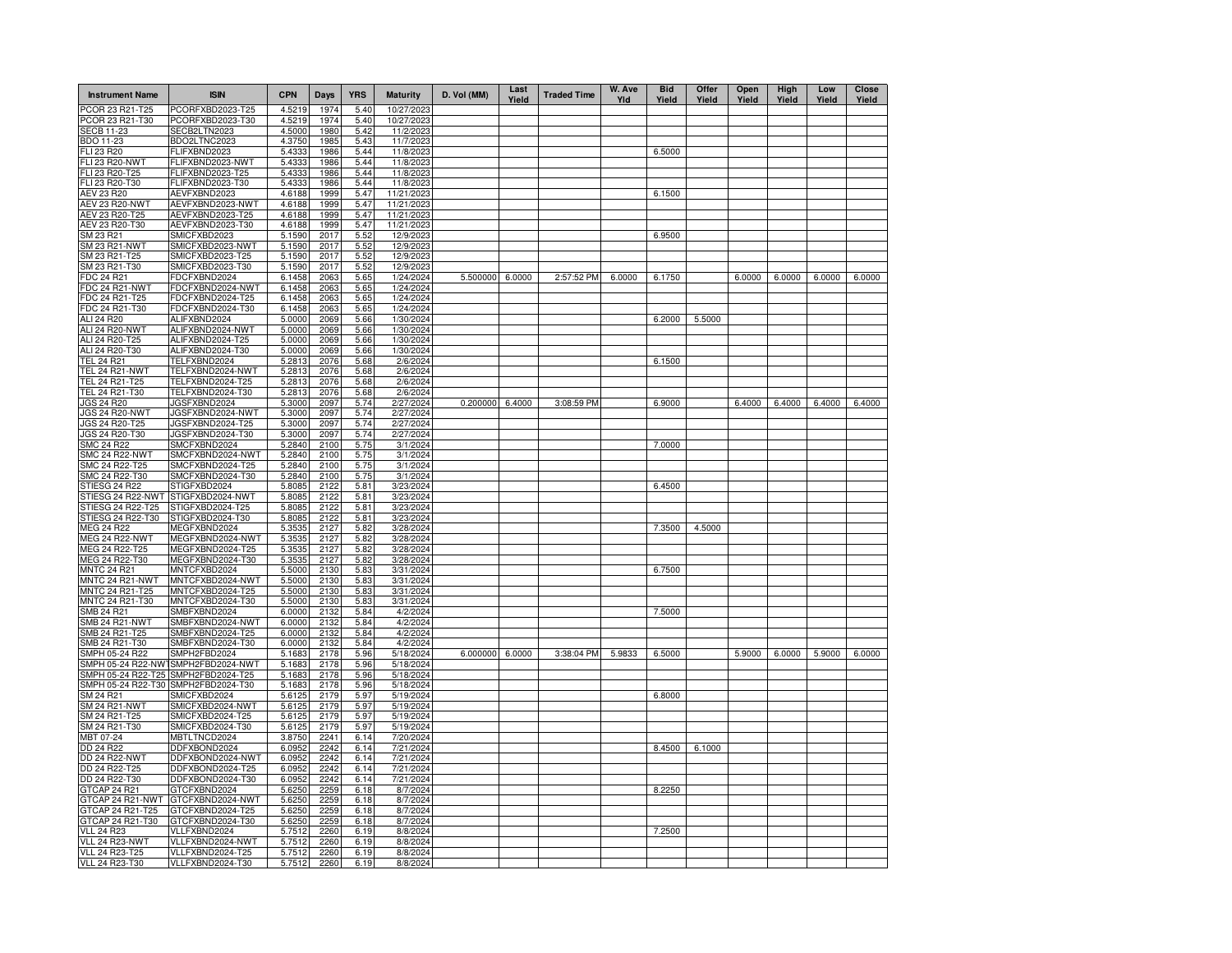| <b>Instrument Name</b>               | <b>ISIN</b>                          | <b>CPN</b>       | <b>Days</b>  | <b>YRS</b>   | <b>Maturity</b>        | D. Vol (MM) | Last<br>Yield | <b>Traded Time</b> | W. Ave<br>YId | <b>Bid</b><br>Yield | Offer<br>Yield | Open<br>Yield | High<br>Yield | Low<br>Yield | <b>Close</b><br>Yield |
|--------------------------------------|--------------------------------------|------------------|--------------|--------------|------------------------|-------------|---------------|--------------------|---------------|---------------------|----------------|---------------|---------------|--------------|-----------------------|
| PCOR 23 R21-T25                      | PCORFXBD2023-T25                     | 4.5219           | 1974         | 5.40         | 10/27/2023             |             |               |                    |               |                     |                |               |               |              |                       |
| PCOR 23 R21-T30                      | PCORFXBD2023-T30                     | 4.5219           | 1974         | 5.40         | 10/27/2023             |             |               |                    |               |                     |                |               |               |              |                       |
| <b>SECB 11-23</b>                    | SECB2LTN2023                         | 4.5000           | 1980         | 5.42         | 11/2/2023              |             |               |                    |               |                     |                |               |               |              |                       |
| BDO 11-23<br>FLI 23 R20              | BDO2LTNC2023<br>FLIFXBND2023         | 4.3750<br>5.4333 | 1985<br>1986 | 5.43<br>5.44 | 11/7/2023<br>11/8/2023 |             |               |                    |               | 6.5000              |                |               |               |              |                       |
| <b>FLI 23 R20-NWT</b>                | FLIFXBND2023-NWT                     | 5.4333           | 1986         | 5.44         | 11/8/2023              |             |               |                    |               |                     |                |               |               |              |                       |
| FLI 23 R20-T25                       | FLIFXBND2023-T25                     | 5.4333           | 1986         | 5.44         | 11/8/2023              |             |               |                    |               |                     |                |               |               |              |                       |
| FLI 23 R20-T30                       | FLIFXBND2023-T30                     | 5.4333           | 1986         | 5.44         | 11/8/2023              |             |               |                    |               |                     |                |               |               |              |                       |
| <b>AEV 23 R20</b>                    | AEVFXBND2023                         | 4.6188           | 1999         | 5.47         | 11/21/2023             |             |               |                    |               | 6.1500              |                |               |               |              |                       |
| AEV 23 R20-NWT                       | AEVFXBND2023-NWT                     | 4.6188           | 1999         | 5.47         | 11/21/2023             |             |               |                    |               |                     |                |               |               |              |                       |
| AEV 23 R20-T25                       | AEVFXBND2023-T25                     | 4.6188           | 1999         | 5.47         | 11/21/2023             |             |               |                    |               |                     |                |               |               |              |                       |
| AEV 23 R20-T30                       | AEVFXBND2023-T30                     | 4.6188           | 1999         | 5.47         | 11/21/2023             |             |               |                    |               |                     |                |               |               |              |                       |
| SM 23 R21                            | SMICFXBD2023                         | 5.1590           | 2017         | 5.52         | 12/9/2023              |             |               |                    |               | 6.9500              |                |               |               |              |                       |
| SM 23 R21-NWT                        | SMICFXBD2023-NWT                     | 5.1590           | 2017<br>2017 | 5.52         | 12/9/2023              |             |               |                    |               |                     |                |               |               |              |                       |
| SM 23 R21-T25<br>SM 23 R21-T30       | SMICFXBD2023-T25<br>SMICFXBD2023-T30 | 5.1590<br>5.1590 | 2017         | 5.52<br>5.52 | 12/9/2023<br>12/9/2023 |             |               |                    |               |                     |                |               |               |              |                       |
| FDC 24 R21                           | FDCFXBND2024                         | 6.1458           | 2063         | 5.65         | 1/24/2024              | 5.500000    | 6.0000        | 2:57:52 PM         | 6.0000        | 6.1750              |                | 6.0000        | 6.0000        | 6.0000       | 6.0000                |
| FDC 24 R21-NWT                       | FDCFXBND2024-NWT                     | 6.1458           | 2063         | 5.65         | 1/24/2024              |             |               |                    |               |                     |                |               |               |              |                       |
| FDC 24 R21-T25                       | FDCFXBND2024-T25                     | 6.1458           | 2063         | 5.65         | 1/24/2024              |             |               |                    |               |                     |                |               |               |              |                       |
| FDC 24 R21-T30                       | FDCFXBND2024-T30                     | 6.1458           | 2063         | 5.65         | 1/24/2024              |             |               |                    |               |                     |                |               |               |              |                       |
| ALI 24 R20                           | ALIFXBND2024                         | 5.0000           | 2069         | 5.66         | 1/30/2024              |             |               |                    |               | 6.2000              | 5.5000         |               |               |              |                       |
| <b>ALI 24 R20-NWT</b>                | ALIFXBND2024-NWT                     | 5.0000           | 2069         | 5.66         | 1/30/2024              |             |               |                    |               |                     |                |               |               |              |                       |
| ALI 24 R20-T25                       | ALIFXBND2024-T25                     | 5.0000           | 2069         | 5.66         | 1/30/2024              |             |               |                    |               |                     |                |               |               |              |                       |
| ALI 24 R20-T30                       | ALIFXBND2024-T30                     | 5.0000           | 2069         | 5.66         | 1/30/2024              |             |               |                    |               |                     |                |               |               |              |                       |
| <b>TEL 24 R21</b>                    | TELFXBND2024                         | 5.2813           | 2076         | 5.68         | 2/6/2024               |             |               |                    |               | 6.1500              |                |               |               |              |                       |
| TEL 24 R21-NWT<br>TEL 24 R21-T25     | TELFXBND2024-NWT                     | 5.2813<br>5.2813 | 2076<br>2076 | 5.68<br>5.68 | 2/6/2024<br>2/6/2024   |             |               |                    |               |                     |                |               |               |              |                       |
| TEL 24 R21-T30                       | TELFXBND2024-T25<br>TELFXBND2024-T30 | 5.2813           | 2076         | 5.68         | 2/6/2024               |             |               |                    |               |                     |                |               |               |              |                       |
| JGS 24 R20                           | JGSFXBND2024                         | 5.3000           | 2097         | 5.74         | 2/27/2024              | 0.200000    | 6.4000        | 3:08:59 PM         |               | 6.9000              |                | 6.4000        | 6.4000        | 6.4000       | 6.4000                |
| JGS 24 R20-NWT                       | JGSFXBND2024-NWT                     | 5.3000           | 2097         | 5.74         | 2/27/2024              |             |               |                    |               |                     |                |               |               |              |                       |
| JGS 24 R20-T25                       | JGSFXBND2024-T25                     | 5.3000           | 2097         | 5.74         | 2/27/2024              |             |               |                    |               |                     |                |               |               |              |                       |
| JGS 24 R20-T30                       | JGSFXBND2024-T30                     | 5.3000           | 2097         | 5.74         | 2/27/2024              |             |               |                    |               |                     |                |               |               |              |                       |
| <b>SMC 24 R22</b>                    | SMCFXBND2024                         | 5.2840           | 2100         | 5.75         | 3/1/2024               |             |               |                    |               | 7.0000              |                |               |               |              |                       |
| <b>SMC 24 R22-NWT</b>                | SMCFXBND2024-NWT                     | 5.2840           | 2100         | 5.75         | 3/1/2024               |             |               |                    |               |                     |                |               |               |              |                       |
| SMC 24 R22-T25                       | SMCFXBND2024-T25                     | 5.2840           | 2100         | 5.75         | 3/1/2024               |             |               |                    |               |                     |                |               |               |              |                       |
| SMC 24 R22-T30                       | SMCFXBND2024-T30                     | 5.2840           | 2100         | 5.75         | 3/1/2024               |             |               |                    |               |                     |                |               |               |              |                       |
| STIESG 24 R22<br>STIESG 24 R22-NWT   | STIGFXBD2024<br>STIGFXBD2024-NWT     | 5.8085<br>5.8085 | 2122<br>2122 | 5.81<br>5.81 | 3/23/2024<br>3/23/2024 |             |               |                    |               | 6.4500              |                |               |               |              |                       |
| STIESG 24 R22-T25                    | STIGFXBD2024-T25                     | 5.8085           | 2122         | 5.81         | 3/23/2024              |             |               |                    |               |                     |                |               |               |              |                       |
| STIESG 24 R22-T30                    | STIGFXBD2024-T30                     | 5.8085           | 2122         | 5.81         | 3/23/2024              |             |               |                    |               |                     |                |               |               |              |                       |
| <b>MEG 24 R22</b>                    | MEGFXBND2024                         | 5.3535           | 2127         | 5.82         | 3/28/2024              |             |               |                    |               | 7.3500              | 4.5000         |               |               |              |                       |
| <b>MEG 24 R22-NWT</b>                | MEGFXBND2024-NWT                     | 5.3535           | 2127         | 5.82         | 3/28/2024              |             |               |                    |               |                     |                |               |               |              |                       |
| MEG 24 R22-T25                       | MEGFXBND2024-T25                     | 5.3535           | 2127         | 5.82         | 3/28/2024              |             |               |                    |               |                     |                |               |               |              |                       |
| MEG 24 R22-T30                       | MEGFXBND2024-T30                     | 5.3535           | 2127         | 5.82         | 3/28/2024              |             |               |                    |               |                     |                |               |               |              |                       |
| <b>MNTC 24 R21</b>                   | MNTCFXBD2024                         | 5.5000           | 2130         | 5.83         | 3/31/2024              |             |               |                    |               | 6.7500              |                |               |               |              |                       |
| MNTC 24 R21-NWT<br>MNTC 24 R21-T25   | MNTCFXBD2024-NWT<br>MNTCFXBD2024-T25 | 5.5000<br>5.5000 | 2130<br>2130 | 5.83<br>5.83 | 3/31/2024<br>3/31/2024 |             |               |                    |               |                     |                |               |               |              |                       |
| MNTC 24 R21-T30                      | MNTCFXBD2024-T30                     | 5.5000           | 2130         | 5.83         | 3/31/2024              |             |               |                    |               |                     |                |               |               |              |                       |
| SMB 24 R21                           | SMBFXBND2024                         | 6.0000           | 2132         | 5.84         | 4/2/2024               |             |               |                    |               | 7.5000              |                |               |               |              |                       |
| <b>SMB 24 R21-NWT</b>                | SMBFXBND2024-NWT                     | 6.0000           | 2132         | 5.84         | 4/2/2024               |             |               |                    |               |                     |                |               |               |              |                       |
| SMB 24 R21-T25                       | SMBFXBND2024-T25                     | 6.0000           | 2132         | 5.84         | 4/2/2024               |             |               |                    |               |                     |                |               |               |              |                       |
| SMB 24 R21-T30                       | SMBFXBND2024-T30                     | 6.0000           | 2132         | 5.84         | 4/2/2024               |             |               |                    |               |                     |                |               |               |              |                       |
| SMPH 05-24 R22                       | SMPH2FBD2024                         | 5.1683           | 2178         | 5.96         | 5/18/2024              | 6.000000    | 6.0000        | 3:38:04 PM         | 5.9833        | 6.5000              |                | 5.9000        | 6.0000        | 5.9000       | 6.0000                |
|                                      | SMPH 05-24 R22-NW SMPH2FBD2024-NWT   | 5.1683           | 2178         | 5.96         | 5/18/2024              |             |               |                    |               |                     |                |               |               |              |                       |
| SMPH 05-24 R22-T25                   | SMPH2FBD2024-T25<br>SMPH2FBD2024-T30 | 5.1683           | 2178<br>2178 | 5.96<br>5.96 | 5/18/2024              |             |               |                    |               |                     |                |               |               |              |                       |
| SMPH 05-24 R22-T30<br>SM 24 R21      | SMICFXBD2024                         | 5.1683<br>5.6125 | 2179         | 5.97         | 5/18/2024<br>5/19/2024 |             |               |                    |               | 6.8000              |                |               |               |              |                       |
| SM 24 R21-NWT                        | SMICFXBD2024-NWT                     | 5.6125           | 2179         | 5.97         | 5/19/2024              |             |               |                    |               |                     |                |               |               |              |                       |
| SM 24 R21-T25                        | SMICFXBD2024-T25                     | 5.6125           | 2179         | 5.97         | 5/19/2024              |             |               |                    |               |                     |                |               |               |              |                       |
| SM 24 R21-T30                        | SMICFXBD2024-T30                     | 5.6125           | 2179         | 5.97         | 5/19/2024              |             |               |                    |               |                     |                |               |               |              |                       |
| MBT 07-24                            | MBTLTNCD2024                         | 3.8750           | 2241         | 6.14         | 7/20/2024              |             |               |                    |               |                     |                |               |               |              |                       |
| DD 24 R22                            | DDFXBOND2024                         | 6.0952           | 2242         | 6.14         | 7/21/2024              |             |               |                    |               | 8.4500              | 6.1000         |               |               |              |                       |
| <b>DD 24 R22-NWT</b>                 | DDFXBOND2024-NWT                     | 6.0952           | 2242         | 6.14         | 7/21/2024              |             |               |                    |               |                     |                |               |               |              |                       |
| DD 24 R22-T25                        | DDFXBOND2024-T25                     | 6.0952           | 2242         | 6.14         | 7/21/2024              |             |               |                    |               |                     |                |               |               |              |                       |
| DD 24 R22-T30                        | DDFXBOND2024-T30                     | 6.0952           | 2242         | 6.14         | 7/21/2024              |             |               |                    |               |                     |                |               |               |              |                       |
| GTCAP 24 R21                         | GTCFXBND2024                         | 5.6250           | 2259         | 6.18         | 8/7/2024               |             |               |                    |               | 8.2250              |                |               |               |              |                       |
| GTCAP 24 R21-NWT<br>GTCAP 24 R21-T25 | GTCFXBND2024-NWT<br>GTCFXBND2024-T25 | 5.6250           | 2259<br>2259 | 6.18         | 8/7/2024               |             |               |                    |               |                     |                |               |               |              |                       |
| GTCAP 24 R21-T30                     | GTCFXBND2024-T30                     | 5.6250<br>5.6250 | 2259         | 6.18<br>6.18 | 8/7/2024<br>8/7/2024   |             |               |                    |               |                     |                |               |               |              |                       |
| <b>VLL 24 R23</b>                    | VLLFXBND2024                         | 5.7512           | 2260         | 6.19         | 8/8/2024               |             |               |                    |               | 7.2500              |                |               |               |              |                       |
| VLL 24 R23-NWT                       | VLLFXBND2024-NWT                     | 5.7512           | 2260         | 6.19         | 8/8/2024               |             |               |                    |               |                     |                |               |               |              |                       |
| <b>VLL 24 R23-T25</b>                | VLLFXBND2024-T25                     | 5.7512           | 2260         | 6.19         | 8/8/2024               |             |               |                    |               |                     |                |               |               |              |                       |
| VLL 24 R23-T30                       | VLLFXBND2024-T30                     | 5.7512           | 2260         | 6.19         | 8/8/2024               |             |               |                    |               |                     |                |               |               |              |                       |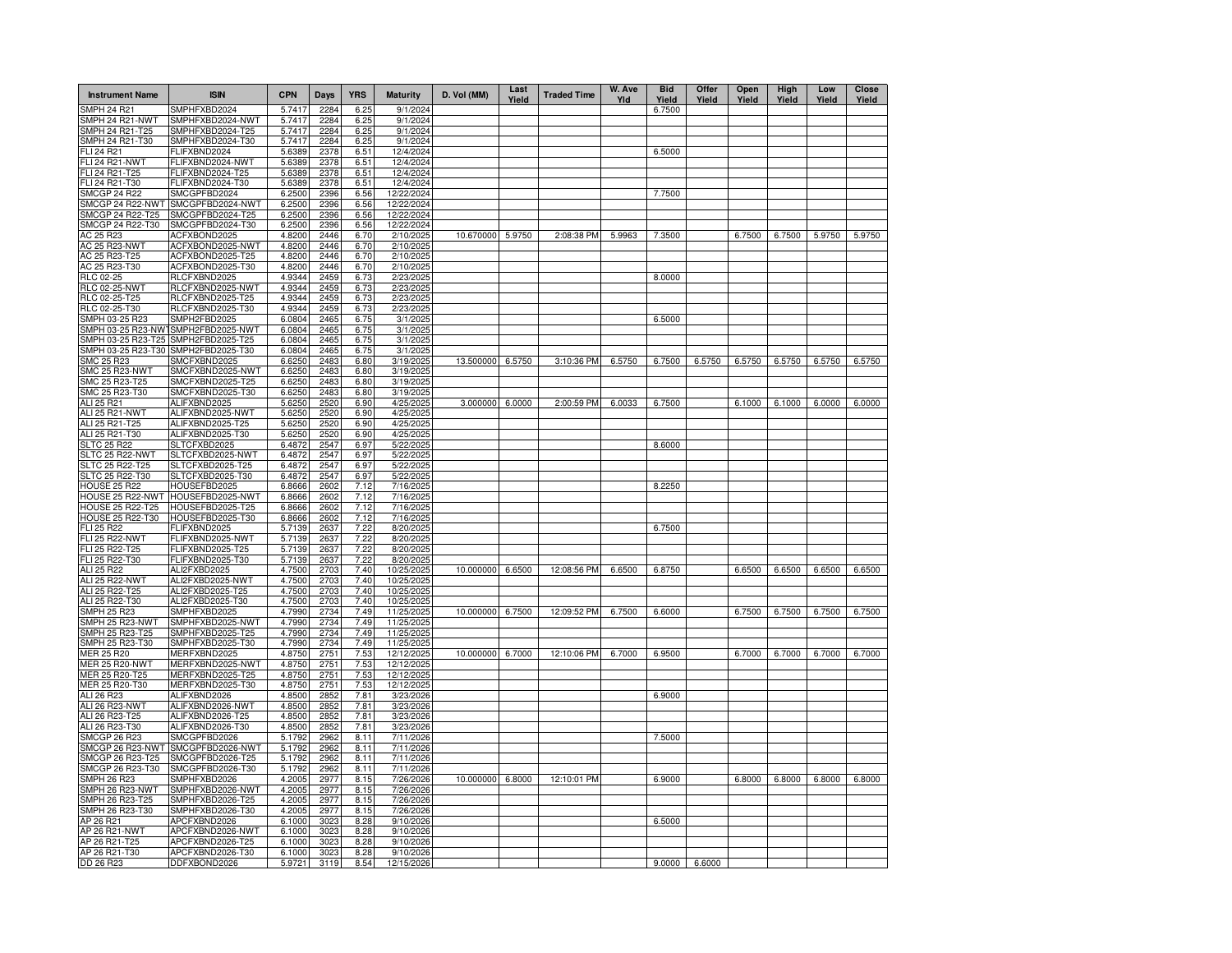| <b>Instrument Name</b>              | <b>ISIN</b>                                       | <b>CPN</b>       | Days         | <b>YRS</b>   | <b>Maturity</b>          | D. Vol (MM)      | Last<br>Yield | <b>Traded Time</b> | W. Ave<br>YId | <b>Bid</b><br>Yield | Offer<br>Yield | Open<br>Yield | High<br>Yield | Low<br>Yield | <b>Close</b><br>Yield |
|-------------------------------------|---------------------------------------------------|------------------|--------------|--------------|--------------------------|------------------|---------------|--------------------|---------------|---------------------|----------------|---------------|---------------|--------------|-----------------------|
| SMPH 24 R21                         | SMPHFXBD2024                                      | 5.7417           | 2284         | 6.25         | 9/1/2024                 |                  |               |                    |               | 6.7500              |                |               |               |              |                       |
| SMPH 24 R21-NWT                     | SMPHFXBD2024-NWT                                  | 5.7417           | 2284         | 6.25         | 9/1/2024                 |                  |               |                    |               |                     |                |               |               |              |                       |
| SMPH 24 R21-T25                     | SMPHFXBD2024-T25                                  | 5.7417           | 2284         | 6.25         | 9/1/2024                 |                  |               |                    |               |                     |                |               |               |              |                       |
| SMPH 24 R21-T30<br>FLI 24 R21       | SMPHFXBD2024-T30<br>FLIFXBND2024                  | 5.7417<br>5.6389 | 2284<br>2378 | 6.25<br>6.51 | 9/1/2024<br>12/4/2024    |                  |               |                    |               | 6.5000              |                |               |               |              |                       |
| <b>FLI 24 R21-NWT</b>               | FLIFXBND2024-NWT                                  | 5.6389           | 2378         | 6.51         | 12/4/2024                |                  |               |                    |               |                     |                |               |               |              |                       |
| FLI 24 R21-T25                      | FLIFXBND2024-T25                                  | 5.6389           | 2378         | 6.51         | 12/4/2024                |                  |               |                    |               |                     |                |               |               |              |                       |
| FLI 24 R21-T30                      | FLIFXBND2024-T30                                  | 5.6389           | 2378         | 6.51         | 12/4/2024                |                  |               |                    |               |                     |                |               |               |              |                       |
| <b>SMCGP 24 R22</b>                 | SMCGPFBD2024                                      | 6.2500           | 2396         | 6.56         | 12/22/2024               |                  |               |                    |               | 7.7500              |                |               |               |              |                       |
| SMCGP 24 R22-NWT                    | SMCGPFBD2024-NWT                                  | 6.2500           | 2396         | 6.56         | 12/22/2024               |                  |               |                    |               |                     |                |               |               |              |                       |
| SMCGP 24 R22-T25                    | SMCGPFBD2024-T25                                  | 6.2500           | 2396         | 6.56         | 12/22/2024               |                  |               |                    |               |                     |                |               |               |              |                       |
| SMCGP 24 R22-T30<br>AC 25 R23       | SMCGPFBD2024-T30<br>ACFXBOND2025                  | 6.2500<br>4.8200 | 2396<br>2446 | 6.56<br>6.70 | 12/22/2024<br>2/10/2025  | 10.670000 5.9750 |               | 2:08:38 PM         | 5.9963        | 7.3500              |                | 6.7500        | 6.7500        | 5.9750       | 5.9750                |
| AC 25 R23-NWT                       | ACFXBOND2025-NWT                                  | 4.8200           | 2446         | 6.70         | 2/10/2025                |                  |               |                    |               |                     |                |               |               |              |                       |
| AC 25 R23-T25                       | ACFXBOND2025-T25                                  | 4.8200           | 2446         | 6.70         | 2/10/2025                |                  |               |                    |               |                     |                |               |               |              |                       |
| AC 25 R23-T30                       | ACFXBOND2025-T30                                  | 4.8200           | 2446         | 6.70         | 2/10/2025                |                  |               |                    |               |                     |                |               |               |              |                       |
| <b>RLC 02-25</b>                    | RLCFXBND2025                                      | 4.9344           | 2459         | 6.73         | 2/23/2025                |                  |               |                    |               | 8.0000              |                |               |               |              |                       |
| RLC 02-25-NWT                       | RLCFXBND2025-NWT                                  | 4.9344           | 2459         | 6.73         | 2/23/2025                |                  |               |                    |               |                     |                |               |               |              |                       |
| RLC 02-25-T25                       | RLCFXBND2025-T25                                  | 4.9344           | 2459         | 6.73         | 2/23/2025                |                  |               |                    |               |                     |                |               |               |              |                       |
| RLC 02-25-T30<br>SMPH 03-25 R23     | RLCFXBND2025-T30<br>SMPH2FBD2025                  | 4.9344<br>6.0804 | 2459<br>2465 | 6.73<br>6.75 | 2/23/2025<br>3/1/2025    |                  |               |                    |               | 6.5000              |                |               |               |              |                       |
|                                     | SMPH 03-25 R23-NW1SMPH2FBD2025-NWT                | 6.0804           | 2465         | 6.75         | 3/1/2025                 |                  |               |                    |               |                     |                |               |               |              |                       |
| SMPH 03-25 R23-T25                  | SMPH2FBD2025-T25                                  | 6.0804           | 2465         | 6.75         | 3/1/2025                 |                  |               |                    |               |                     |                |               |               |              |                       |
| SMPH 03-25 R23-T30                  | SMPH2FBD2025-T30                                  | 6.0804           | 2465         | 6.75         | 3/1/2025                 |                  |               |                    |               |                     |                |               |               |              |                       |
| SMC 25 R23                          | SMCFXBND2025                                      | 6.6250           | 2483         | 6.80         | 3/19/2025                | 13.500000        | 6.5750        | 3:10:36 PM         | 6.5750        | 6.7500              | 6.5750         | 6.5750        | 6.5750        | 6.5750       | 6.5750                |
| SMC 25 R23-NWT                      | SMCFXBND2025-NWT                                  | 6.6250           | 2483         | 6.80         | 3/19/2025                |                  |               |                    |               |                     |                |               |               |              |                       |
| SMC 25 R23-T25                      | SMCFXBND2025-T25                                  | 6.6250           | 2483         | 6.80         | 3/19/2025                |                  |               |                    |               |                     |                |               |               |              |                       |
| SMC 25 R23-T30                      | SMCFXBND2025-T30                                  | 6.6250           | 2483         | 6.80         | 3/19/2025                |                  |               |                    |               |                     |                |               |               |              |                       |
| ALI 25 R21<br>ALI 25 R21-NWT        | ALIFXBND2025<br>ALIFXBND2025-NWT                  | 5.6250<br>5.6250 | 2520<br>2520 | 6.90<br>6.90 | 4/25/2025<br>4/25/2025   | 3.000000         | 6.0000        | 2:00:59 PM         | 6.0033        | 6.7500              |                | 6.1000        | 6.1000        | 6.0000       | 6.0000                |
| ALI 25 R21-T25                      | ALIFXBND2025-T25                                  | 5.6250           | 2520         | 6.90         | 4/25/2025                |                  |               |                    |               |                     |                |               |               |              |                       |
| ALI 25 R21-T30                      | ALIFXBND2025-T30                                  | 5.6250           | 2520         | 6.90         | 4/25/2025                |                  |               |                    |               |                     |                |               |               |              |                       |
| <b>SLTC 25 R22</b>                  | SLTCFXBD2025                                      | 6.4872           | 2547         | 6.97         | 5/22/2025                |                  |               |                    |               | 8.6000              |                |               |               |              |                       |
| SLTC 25 R22-NWT                     | SLTCFXBD2025-NWT                                  | 6.4872           | 2547         | 6.97         | 5/22/2025                |                  |               |                    |               |                     |                |               |               |              |                       |
| <b>SLTC 25 R22-T25</b>              | SLTCFXBD2025-T25                                  | 6.4872           | 2547         | 6.97         | 5/22/2025                |                  |               |                    |               |                     |                |               |               |              |                       |
| SLTC 25 R22-T30                     | SLTCFXBD2025-T30                                  | 6.4872           | 2547         | 6.97         | 5/22/2025                |                  |               |                    |               |                     |                |               |               |              |                       |
| HOUSE 25 R22                        | HOUSEFBD2025<br>HOUSE 25 R22-NWT HOUSEFBD2025-NWT | 6.8666           | 2602<br>2602 | 7.12<br>7.12 | 7/16/2025<br>7/16/2025   |                  |               |                    |               | 8.2250              |                |               |               |              |                       |
| HOUSE 25 R22-T25                    | HOUSEFBD2025-T25                                  | 6.8666<br>6.8666 | 2602         | 7.12         | 7/16/2025                |                  |               |                    |               |                     |                |               |               |              |                       |
| <b>HOUSE 25 R22-T30</b>             | HOUSEFBD2025-T30                                  | 6.8666           | 2602         | 7.12         | 7/16/2025                |                  |               |                    |               |                     |                |               |               |              |                       |
| FLI 25 R22                          | FLIFXBND2025                                      | 5.7139           | 2637         | 7.22         | 8/20/2025                |                  |               |                    |               | 6.7500              |                |               |               |              |                       |
| <b>FLI 25 R22-NWT</b>               | FLIFXBND2025-NWT                                  | 5.7139           | 2637         | 7.22         | 8/20/2025                |                  |               |                    |               |                     |                |               |               |              |                       |
| FLI 25 R22-T25                      | FLIFXBND2025-T25                                  | 5.7139           | 2637         | 7.22         | 8/20/2025                |                  |               |                    |               |                     |                |               |               |              |                       |
| FLI 25 R22-T30                      | FLIFXBND2025-T30                                  | 5.7139           | 2637         | 7.22         | 8/20/2025                |                  |               |                    |               |                     |                |               |               |              |                       |
| ALI 25 R22<br><b>ALI 25 R22-NWT</b> | ALI2FXBD2025<br>ALI2FXBD2025-NWT                  | 4.7500<br>4.7500 | 2703<br>2703 | 7.40<br>7.40 | 10/25/2025<br>10/25/2025 | 10.000000 6.6500 |               | 12:08:56 PM        | 6.6500        | 6.8750              |                | 6.6500        | 6.6500        | 6.6500       | 6.6500                |
| ALI 25 R22-T25                      | ALI2FXBD2025-T25                                  | 4.7500           | 2703         | 7.40         | 10/25/2025               |                  |               |                    |               |                     |                |               |               |              |                       |
| ALI 25 R22-T30                      | ALI2FXBD2025-T30                                  | 4.7500           | 2703         | 7.40         | 10/25/2025               |                  |               |                    |               |                     |                |               |               |              |                       |
| <b>SMPH 25 R23</b>                  | SMPHFXBD2025                                      | 4.7990           | 2734         | 7.49         | 11/25/2025               | 10.000000 6.7500 |               | 12:09:52 PM        | 6.7500        | 6.6000              |                | 6.7500        | 6.7500        | 6.7500       | 6.7500                |
| SMPH 25 R23-NWT                     | SMPHFXBD2025-NWT                                  | 4.7990           | 2734         | 7.49         | 11/25/2025               |                  |               |                    |               |                     |                |               |               |              |                       |
| SMPH 25 R23-T25                     | SMPHFXBD2025-T25                                  | 4.7990           | 2734         | 7.49         | 11/25/2025               |                  |               |                    |               |                     |                |               |               |              |                       |
| SMPH 25 R23-T30                     | SMPHFXBD2025-T30                                  | 4.7990           | 2734         | 7.49         | 11/25/2025               |                  |               |                    |               |                     |                |               |               |              |                       |
| MER 25 R20<br><b>MER 25 R20-NWT</b> | MERFXBND2025<br>MERFXBND2025-NWT                  | 4.8750<br>4.8750 | 2751<br>2751 | 7.53<br>7.53 | 12/12/2025<br>12/12/2025 | 10.000000 6.7000 |               | 12:10:06 PM        | 6.7000        | 6.9500              |                | 6.7000        | 6.7000        | 6.7000       | 6.7000                |
| MER 25 R20-T25                      | MERFXBND2025-T25                                  | 4.8750           | 2751         | 7.53         | 12/12/2025               |                  |               |                    |               |                     |                |               |               |              |                       |
| MER 25 R20-T30                      | MERFXBND2025-T30                                  | 4.8750           | $275 -$      | 7.53         | 12/12/2025               |                  |               |                    |               |                     |                |               |               |              |                       |
| ALI 26 R23                          | ALIFXBND2026                                      | 4.8500           | 285          | 7.81         | 3/23/2026                |                  |               |                    |               | 6.9000              |                |               |               |              |                       |
| ALI 26 R23-NWT                      | ALIFXBND2026-NWT                                  | 4.8500           | 285          | 7.81         | 3/23/2026                |                  |               |                    |               |                     |                |               |               |              |                       |
| ALI 26 R23-T25                      | ALIFXBND2026-T25                                  | 4.8500           | 285          | 7.81         | 3/23/2026                |                  |               |                    |               |                     |                |               |               |              |                       |
| ALI 26 R23-T30                      | ALIFXBND2026-T30                                  | 4.8500           | 285          | 7.81         | 3/23/2026                |                  |               |                    |               |                     |                |               |               |              |                       |
| SMCGP 26 R23<br>SMCGP 26 R23-NWT    | SMCGPFBD2026<br>SMCGPFBD2026-NWT                  | 5.1792<br>5.1792 | 2962<br>2962 | 8.11<br>8.11 | 7/11/2026<br>7/11/2026   |                  |               |                    |               | 7.5000              |                |               |               |              |                       |
| SMCGP 26 R23-T25                    | SMCGPFBD2026-T25                                  | 5.1792           | 2962         | 8.11         | 7/11/2026                |                  |               |                    |               |                     |                |               |               |              |                       |
| SMCGP 26 R23-T30                    | SMCGPFBD2026-T30                                  | 5.1792           | 2962         | 8.11         | 7/11/2026                |                  |               |                    |               |                     |                |               |               |              |                       |
| SMPH 26 R23                         | SMPHFXBD2026                                      | 4.2005           | 2977         | 8.15         | 7/26/2026                | 10.000000 6.8000 |               | 12:10:01 PM        |               | 6.9000              |                | 6.8000        | 6.8000        | 6.8000       | 6.8000                |
| SMPH 26 R23-NWT                     | SMPHFXBD2026-NWT                                  | 4.2005           | 2977         | 8.15         | 7/26/2026                |                  |               |                    |               |                     |                |               |               |              |                       |
| SMPH 26 R23-T25                     | SMPHFXBD2026-T25                                  | 4.2005           | 2977         | 8.15         | 7/26/2026                |                  |               |                    |               |                     |                |               |               |              |                       |
| SMPH 26 R23-T30                     | SMPHFXBD2026-T30                                  | 4.2005           | 2977         | 8.15         | 7/26/2026                |                  |               |                    |               |                     |                |               |               |              |                       |
| AP 26 R21<br>AP 26 R21-NWT          | APCFXBND2026<br>APCFXBND2026-NWT                  | 6.1000<br>6.1000 | 3023<br>3023 | 8.28<br>8.28 | 9/10/2026<br>9/10/2026   |                  |               |                    |               | 6.5000              |                |               |               |              |                       |
| AP 26 R21-T25                       | APCFXBND2026-T25                                  | 6.1000           | 3023         | 8.28         | 9/10/2026                |                  |               |                    |               |                     |                |               |               |              |                       |
| AP 26 R21-T30                       | APCFXBND2026-T30                                  | 6.1000           | 3023         | 8.28         | 9/10/2026                |                  |               |                    |               |                     |                |               |               |              |                       |
| DD 26 R23                           | DDFXBOND2026                                      | 5.9721           | 3119         | 8.54         | 12/15/2026               |                  |               |                    |               | 9.0000              | 6.6000         |               |               |              |                       |